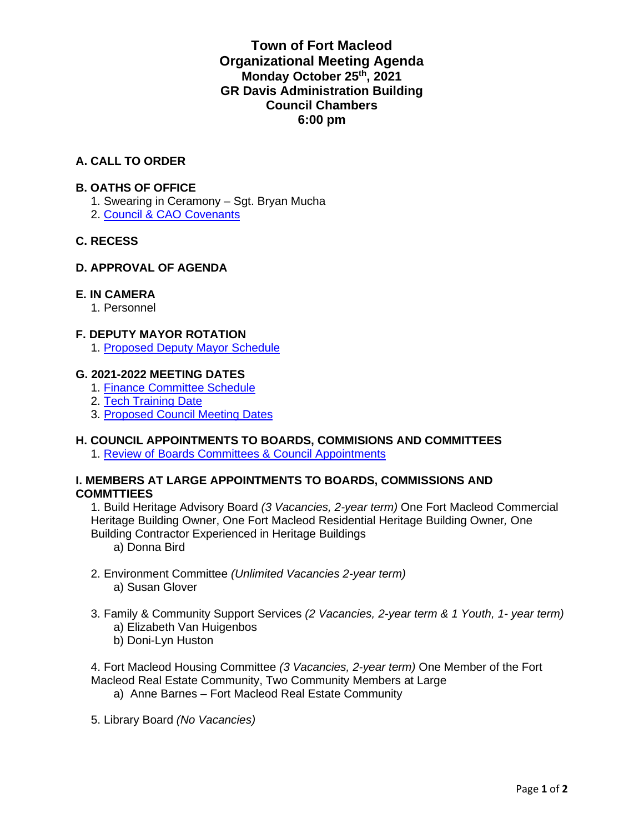#### **Town of Fort Macleod Organizational Meeting Agenda Monday October 25th, 2021 GR Davis Administration Building Council Chambers 6:00 pm**

#### **A. CALL TO ORDER**

#### **B. OATHS OF OFFICE**

- 1. Swearing in Ceramony Sgt. Bryan Mucha
- 2. Council & CAO Covenants

#### **C. RECESS**

#### **D. APPROVAL OF AGENDA**

#### **E. IN CAMERA**

1. Personnel

#### **F. DEPUTY MAYOR ROTATION**

1. Proposed Deputy Mayor Schedule

#### **G. 2021-2022 MEETING DATES**

- 1. Finance Committee Schedule
- 2. Tech Training Date
- 3. Proposed Council Meeting Dates

#### **H. COUNCIL APPOINTMENTS TO BOARDS, COMMISIONS AND COMMITTEES**

1. Review of Boards Committees & Council Appointments

#### **I. MEMBERS AT LARGE APPOINTMENTS TO BOARDS, COMMISSIONS AND COMMTTIEES**

1. Build Heritage Advisory Board *(3 Vacancies, 2-year term)* One Fort Macleod Commercial Heritage Building Owner, One Fort Macleod Residential Heritage Building Owner*,* One Building Contractor Experienced in Heritage Buildings

a) Donna Bird

- 2. Environment Committee *(Unlimited Vacancies 2-year term)* a) Susan Glover
- 3. Family & Community Support Services *(2 Vacancies, 2-year term & 1 Youth, 1- year term)* a) Elizabeth Van Huigenbos
	- b) Doni-Lyn Huston

4. Fort Macleod Housing Committee *(3 Vacancies, 2-year term)* One Member of the Fort Macleod Real Estate Community, Two Community Members at Large

- a) Anne Barnes Fort Macleod Real Estate Community
- 5. Library Board *(No Vacancies)*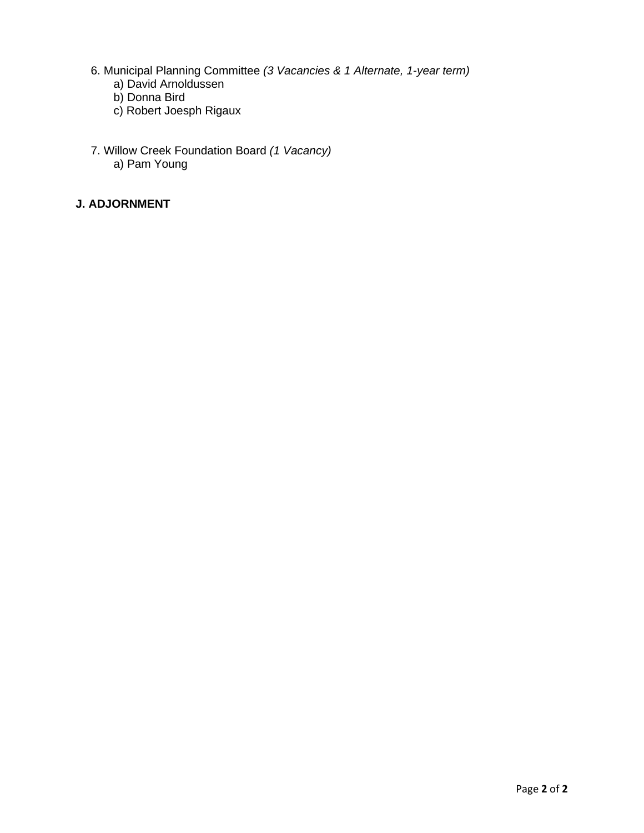- 6. Municipal Planning Committee *(3 Vacancies & 1 Alternate, 1-year term)*
	- a) David Arnoldussen
	- b) Donna Bird
	- c) Robert Joesph Rigaux
- 7. Willow Creek Foundation Board *(1 Vacancy)*  a) Pam Young

#### **J. ADJORNMENT**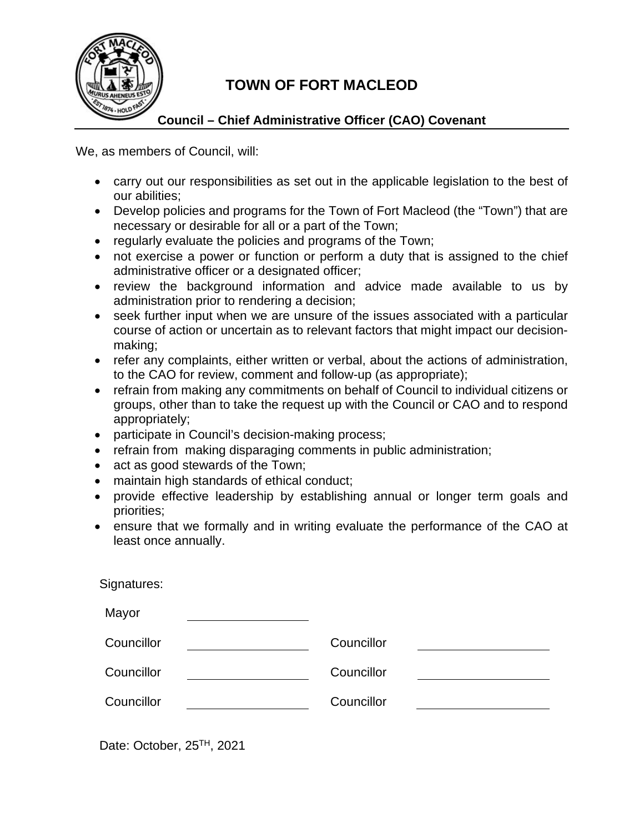

### **TOWN OF FORT MACLEOD**

#### **Council – Chief Administrative Officer (CAO) Covenant**

We, as members of Council, will:

- carry out our responsibilities as set out in the applicable legislation to the best of our abilities;
- Develop policies and programs for the Town of Fort Macleod (the "Town") that are necessary or desirable for all or a part of the Town;
- regularly evaluate the policies and programs of the Town;
- not exercise a power or function or perform a duty that is assigned to the chief administrative officer or a designated officer;
- review the background information and advice made available to us by administration prior to rendering a decision;
- seek further input when we are unsure of the issues associated with a particular course of action or uncertain as to relevant factors that might impact our decisionmaking;
- refer any complaints, either written or verbal, about the actions of administration, to the CAO for review, comment and follow-up (as appropriate);
- refrain from making any commitments on behalf of Council to individual citizens or groups, other than to take the request up with the Council or CAO and to respond appropriately;
- participate in Council's decision-making process;
- refrain from making disparaging comments in public administration;
- act as good stewards of the Town;
- maintain high standards of ethical conduct;
- provide effective leadership by establishing annual or longer term goals and priorities;
- ensure that we formally and in writing evaluate the performance of the CAO at least once annually.

| Signatures: |            |
|-------------|------------|
| Mayor       |            |
| Councillor  | Councillor |
| Councillor  | Councillor |
| Councillor  | Councillor |

Date: October, 25<sup>TH</sup>, 2021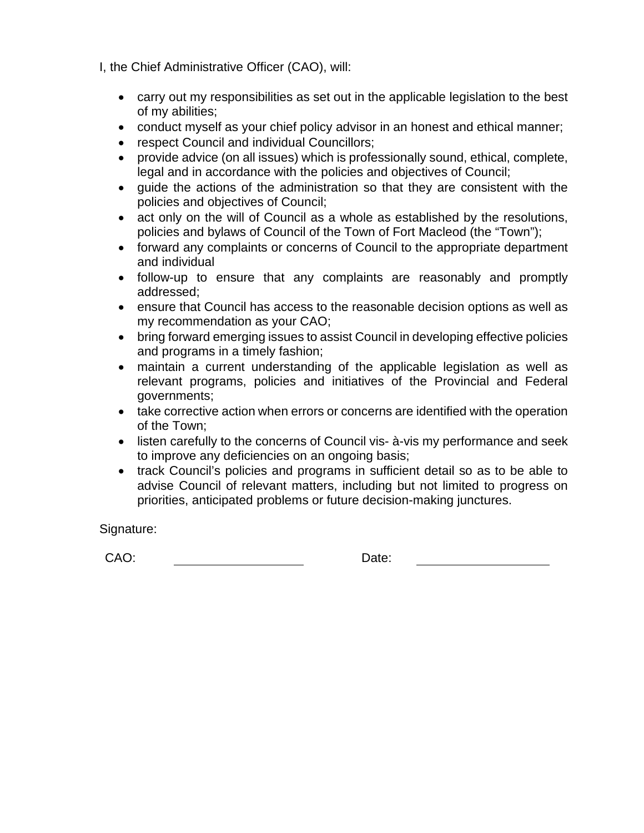I, the Chief Administrative Officer (CAO), will:

- carry out my responsibilities as set out in the applicable legislation to the best of my abilities;
- conduct myself as your chief policy advisor in an honest and ethical manner;
- respect Council and individual Councillors;
- provide advice (on all issues) which is professionally sound, ethical, complete, legal and in accordance with the policies and objectives of Council;
- guide the actions of the administration so that they are consistent with the policies and objectives of Council;
- act only on the will of Council as a whole as established by the resolutions, policies and bylaws of Council of the Town of Fort Macleod (the "Town");
- forward any complaints or concerns of Council to the appropriate department and individual
- follow-up to ensure that any complaints are reasonably and promptly addressed;
- ensure that Council has access to the reasonable decision options as well as my recommendation as your CAO;
- bring forward emerging issues to assist Council in developing effective policies and programs in a timely fashion;
- maintain a current understanding of the applicable legislation as well as relevant programs, policies and initiatives of the Provincial and Federal governments;
- take corrective action when errors or concerns are identified with the operation of the Town;
- listen carefully to the concerns of Council vis- à-vis my performance and seek to improve any deficiencies on an ongoing basis;
- track Council's policies and programs in sufficient detail so as to be able to advise Council of relevant matters, including but not limited to progress on priorities, anticipated problems or future decision-making junctures.

Signature:

CAO: Date: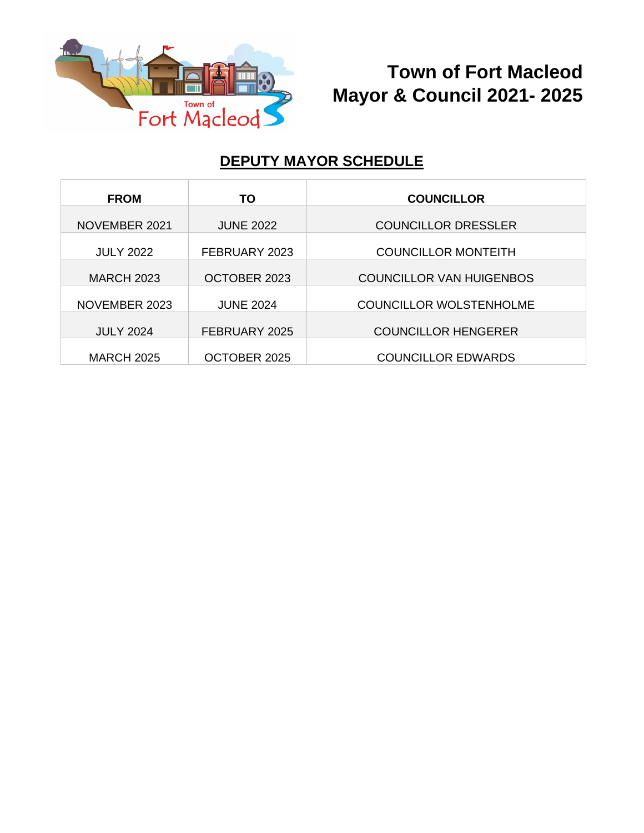

# **Town of Fort Macleod Mayor & Council 2021- 2025**

### **DEPUTY MAYOR SCHEDULE**

| <b>FROM</b>       | ТО               | <b>COUNCILLOR</b>               |
|-------------------|------------------|---------------------------------|
| NOVEMBER 2021     | <b>JUNE 2022</b> | <b>COUNCILLOR DRESSLER</b>      |
| <b>JULY 2022</b>  | FEBRUARY 2023    | <b>COUNCILLOR MONTEITH</b>      |
| <b>MARCH 2023</b> | OCTOBER 2023     | <b>COUNCILLOR VAN HUIGENBOS</b> |
| NOVEMBER 2023     | <b>JUNE 2024</b> | <b>COUNCILLOR WOLSTENHOLME</b>  |
| <b>JULY 2024</b>  | FEBRUARY 2025    | <b>COUNCILLOR HENGERER</b>      |
| <b>MARCH 2025</b> | OCTOBER 2025     | <b>COUNCILLOR EDWARDS</b>       |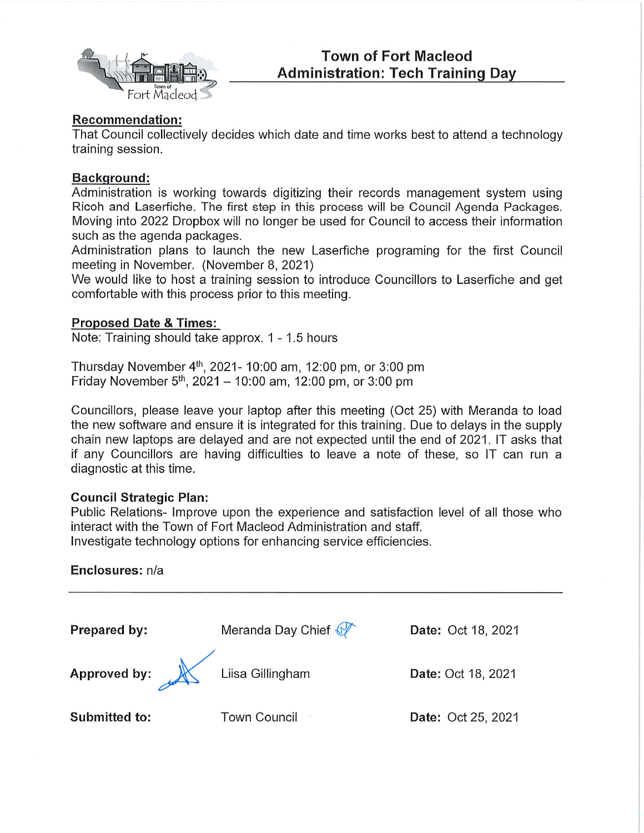

#### **Recommendation:**

That Council collectively decides which date and time works best to attend a technology training session.

#### **Background:**

Administration is working towards digitizing their records management system using Ricoh and Laserfiche. The first step in this process will be Council Agenda Packages. Moving into 2022 Dropbox will no longer be used for Council to access their information such as the agenda packages.

Administration plans to launch the new Laserfiche programing for the first Council meeting in November. (November 8, 2021)

We would like to host a training session to introduce Councillors to Laserfiche and get comfortable with this process prior to this meeting.

#### **Proposed Date & Times:**

Note: Training should take approx. 1 - 1.5 hours

Thursday November 4<sup>th</sup>, 2021- 10:00 am, 12:00 pm, or 3:00 pm Friday November 5<sup>th</sup>, 2021 – 10:00 am, 12:00 pm, or 3:00 pm

Councillors, please leave your laptop after this meeting (Oct 25) with Meranda to load the new software and ensure it is integrated for this training. Due to delays in the supply chain new laptops are delayed and are not expected until the end of 2021. IT asks that if any Councillors are having difficulties to leave a note of these, so IT can run a diagnostic at this time.

#### **Council Strategic Plan:**

Public Relations- Improve upon the experience and satisfaction level of all those who interact with the Town of Fort Macleod Administration and staff.

Investigate technology options for enhancing service efficiencies.

#### Enclosures: n/a

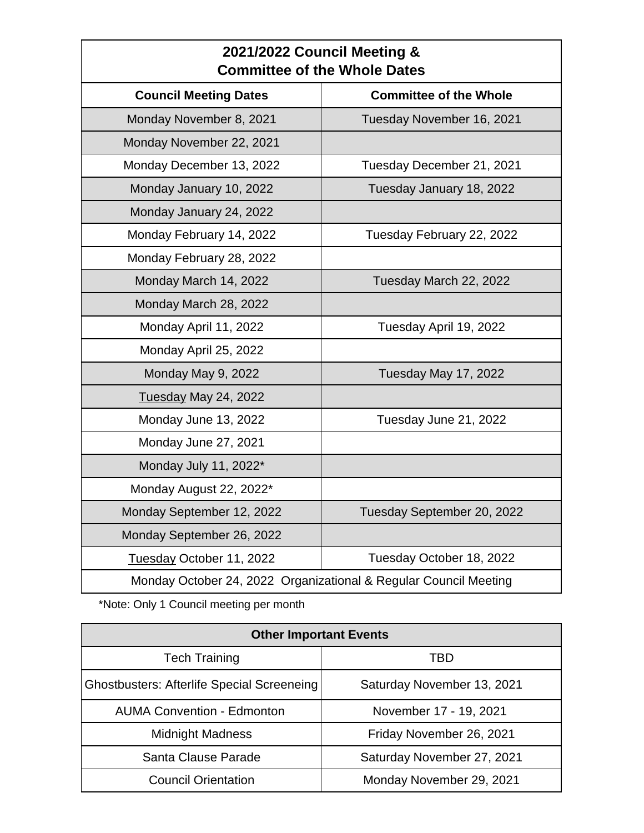| 2021/2022 Council Meeting &<br><b>Committee of the Whole Dates</b> |                               |
|--------------------------------------------------------------------|-------------------------------|
| <b>Council Meeting Dates</b>                                       | <b>Committee of the Whole</b> |
| Monday November 8, 2021                                            | Tuesday November 16, 2021     |
| Monday November 22, 2021                                           |                               |
| Monday December 13, 2022                                           | Tuesday December 21, 2021     |
| Monday January 10, 2022                                            | Tuesday January 18, 2022      |
| Monday January 24, 2022                                            |                               |
| Monday February 14, 2022                                           | Tuesday February 22, 2022     |
| Monday February 28, 2022                                           |                               |
| Monday March 14, 2022                                              | Tuesday March 22, 2022        |
| Monday March 28, 2022                                              |                               |
| Monday April 11, 2022                                              | Tuesday April 19, 2022        |
| Monday April 25, 2022                                              |                               |
| Monday May 9, 2022                                                 | Tuesday May 17, 2022          |
| Tuesday May 24, 2022                                               |                               |
| Monday June 13, 2022                                               | Tuesday June 21, 2022         |
| Monday June 27, 2021                                               |                               |
| Monday July 11, 2022*                                              |                               |
| Monday August 22, 2022*                                            |                               |
| Monday September 12, 2022                                          | Tuesday September 20, 2022    |
| Monday September 26, 2022                                          |                               |
| Tuesday October 11, 2022                                           | Tuesday October 18, 2022      |
| Monday October 24, 2022 Organizational & Regular Council Meeting   |                               |

\*Note: Only 1 Council meeting per month

| <b>Other Important Events</b>                     |                            |
|---------------------------------------------------|----------------------------|
| <b>Tech Training</b>                              | TBD                        |
| <b>Ghostbusters: Afterlife Special Screeneing</b> | Saturday November 13, 2021 |
| <b>AUMA Convention - Edmonton</b>                 | November 17 - 19, 2021     |
| <b>Midnight Madness</b>                           | Friday November 26, 2021   |
| Santa Clause Parade                               | Saturday November 27, 2021 |
| <b>Council Orientation</b>                        | Monday November 29, 2021   |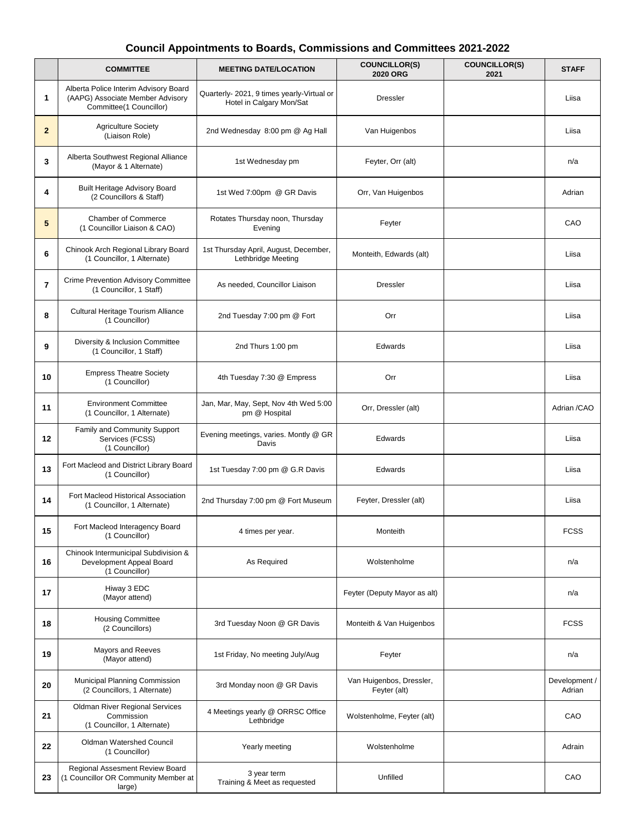#### **Council Appointments to Boards, Commissions and Committees 2021-2022**

|                | <b>COMMITTEE</b>                                                                                     | <b>MEETING DATE/LOCATION</b>                                           | <b>COUNCILLOR(S)</b><br><b>2020 ORG</b>  | <b>COUNCILLOR(S)</b><br>2021 | <b>STAFF</b>            |
|----------------|------------------------------------------------------------------------------------------------------|------------------------------------------------------------------------|------------------------------------------|------------------------------|-------------------------|
| 1              | Alberta Police Interim Advisory Board<br>(AAPG) Associate Member Advisory<br>Committee(1 Councillor) | Quarterly- 2021, 9 times yearly-Virtual or<br>Hotel in Calgary Mon/Sat | <b>Dressler</b>                          |                              | Liisa                   |
| $\mathbf{2}$   | <b>Agriculture Society</b><br>(Liaison Role)                                                         | 2nd Wednesday 8:00 pm @ Ag Hall                                        | Van Huigenbos                            |                              | Liisa                   |
| 3              | Alberta Southwest Regional Alliance<br>(Mayor & 1 Alternate)                                         | 1st Wednesday pm                                                       | Feyter, Orr (alt)                        |                              | n/a                     |
| 4              | <b>Built Heritage Advisory Board</b><br>(2 Councillors & Staff)                                      | 1st Wed 7:00pm @ GR Davis                                              | Orr, Van Huigenbos                       |                              | Adrian                  |
| 5              | <b>Chamber of Commerce</b><br>(1 Councillor Liaison & CAO)                                           | Rotates Thursday noon, Thursday<br>Evening                             | Feyter                                   |                              | CAO                     |
| 6              | Chinook Arch Regional Library Board<br>(1 Councillor, 1 Alternate)                                   | 1st Thursday April, August, December,<br>Lethbridge Meeting            | Monteith, Edwards (alt)                  |                              | Liisa                   |
| $\overline{7}$ | <b>Crime Prevention Advisory Committee</b><br>(1 Councillor, 1 Staff)                                | As needed, Councillor Liaison                                          | <b>Dressler</b>                          |                              | Liisa                   |
| 8              | Cultural Heritage Tourism Alliance<br>(1 Councillor)                                                 | 2nd Tuesday 7:00 pm @ Fort                                             | Orr                                      |                              | Liisa                   |
| 9              | Diversity & Inclusion Committee<br>(1 Councillor, 1 Staff)                                           | 2nd Thurs 1:00 pm                                                      | Edwards                                  |                              | Liisa                   |
| 10             | <b>Empress Theatre Society</b><br>(1 Councillor)                                                     | 4th Tuesday 7:30 @ Empress                                             | Orr                                      |                              | Liisa                   |
| 11             | <b>Environment Committee</b><br>(1 Councillor, 1 Alternate)                                          | Jan, Mar, May, Sept, Nov 4th Wed 5:00<br>pm @ Hospital                 | Orr, Dressler (alt)                      |                              | Adrian /CAO             |
| 12             | Family and Community Support<br>Services (FCSS)<br>(1 Councillor)                                    | Evening meetings, varies. Montly @ GR<br>Davis                         | Edwards                                  |                              | Liisa                   |
| 13             | Fort Macleod and District Library Board<br>(1 Councillor)                                            | 1st Tuesday 7:00 pm @ G.R Davis                                        | Edwards                                  |                              | Liisa                   |
| 14             | Fort Macleod Historical Association<br>(1 Councillor, 1 Alternate)                                   | 2nd Thursday 7:00 pm @ Fort Museum                                     | Feyter, Dressler (alt)                   |                              | Liisa                   |
| 15             | Fort Macleod Interagency Board<br>(1 Councillor)                                                     | 4 times per year.                                                      | Monteith                                 |                              | FCSS                    |
| 16             | Chinook Intermunicipal Subdivision &<br>Development Appeal Board<br>(1 Councillor)                   | As Required                                                            | Wolstenholme                             |                              | n/a                     |
| 17             | Hiway 3 EDC<br>(Mayor attend)                                                                        |                                                                        | Feyter (Deputy Mayor as alt)             |                              | n/a                     |
| 18             | <b>Housing Committee</b><br>(2 Councillors)                                                          | 3rd Tuesday Noon @ GR Davis                                            | Monteith & Van Huigenbos                 |                              | <b>FCSS</b>             |
| 19             | Mayors and Reeves<br>(Mayor attend)                                                                  | 1st Friday, No meeting July/Aug                                        | Feyter                                   |                              | n/a                     |
| 20             | Municipal Planning Commission<br>(2 Councillors, 1 Alternate)                                        | 3rd Monday noon @ GR Davis                                             | Van Huigenbos, Dressler,<br>Feyter (alt) |                              | Development /<br>Adrian |
| 21             | Oldman River Regional Services<br>Commission<br>(1 Councillor, 1 Alternate)                          | 4 Meetings yearly @ ORRSC Office<br>Lethbridge                         | Wolstenholme, Feyter (alt)               |                              | CAO                     |
| 22             | Oldman Watershed Council<br>(1 Councillor)                                                           | Yearly meeting                                                         | Wolstenholme                             |                              | Adrain                  |
| 23             | Regional Assesment Review Board<br>(1 Councillor OR Community Member at<br>large)                    | 3 year term<br>Training & Meet as requested                            | Unfilled                                 |                              | CAO                     |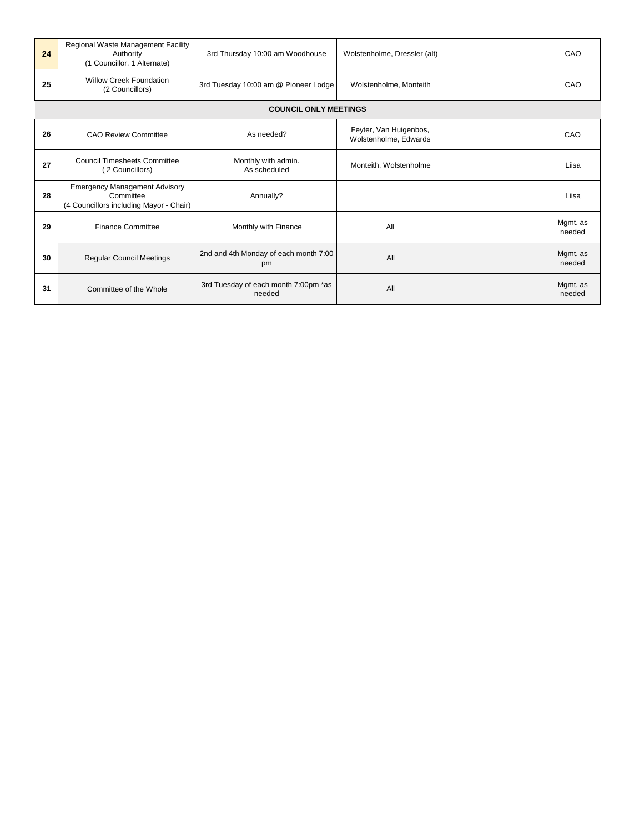| 24 | Regional Waste Management Facility<br>Authority<br>(1 Councillor, 1 Alternate)               | 3rd Thursday 10:00 am Woodhouse                | Wolstenholme, Dressler (alt)                    | CAO                |
|----|----------------------------------------------------------------------------------------------|------------------------------------------------|-------------------------------------------------|--------------------|
| 25 | <b>Willow Creek Foundation</b><br>(2 Councillors)                                            | 3rd Tuesday 10:00 am @ Pioneer Lodge           | Wolstenholme, Monteith                          | CAO                |
|    |                                                                                              | <b>COUNCIL ONLY MEETINGS</b>                   |                                                 |                    |
| 26 | <b>CAO Review Committee</b>                                                                  | As needed?                                     | Feyter, Van Huigenbos,<br>Wolstenholme, Edwards | CAO                |
| 27 | <b>Council Timesheets Committee</b><br>(2 Councillors)                                       | Monthly with admin.<br>As scheduled            | Monteith, Wolstenholme                          | Liisa              |
| 28 | <b>Emergency Management Advisory</b><br>Committee<br>(4 Councillors including Mayor - Chair) | Annually?                                      |                                                 | Liisa              |
| 29 | <b>Finance Committee</b>                                                                     | Monthly with Finance                           | All                                             | Mgmt. as<br>needed |
| 30 | <b>Regular Council Meetings</b>                                                              | 2nd and 4th Monday of each month 7:00<br>pm    | All                                             | Mgmt. as<br>needed |
| 31 | Committee of the Whole                                                                       | 3rd Tuesday of each month 7:00pm *as<br>needed | All                                             | Mgmt. as<br>needed |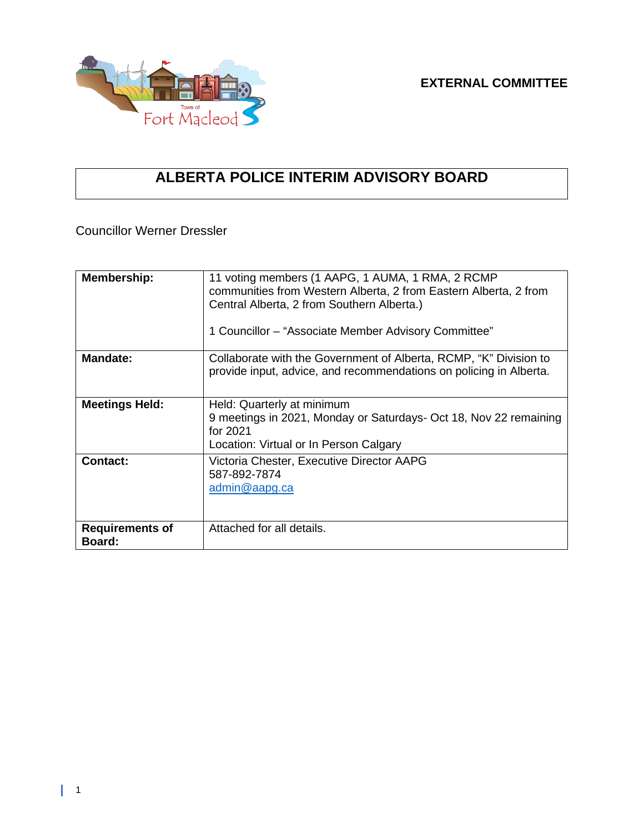

## **ALBERTA POLICE INTERIM ADVISORY BOARD**

Councillor Werner Dressler

| <b>Membership:</b>                      | 11 voting members (1 AAPG, 1 AUMA, 1 RMA, 2 RCMP<br>communities from Western Alberta, 2 from Eastern Alberta, 2 from<br>Central Alberta, 2 from Southern Alberta.)<br>1 Councillor – "Associate Member Advisory Committee" |
|-----------------------------------------|----------------------------------------------------------------------------------------------------------------------------------------------------------------------------------------------------------------------------|
| <b>Mandate:</b>                         | Collaborate with the Government of Alberta, RCMP, "K" Division to<br>provide input, advice, and recommendations on policing in Alberta.                                                                                    |
| <b>Meetings Held:</b>                   | Held: Quarterly at minimum<br>9 meetings in 2021, Monday or Saturdays- Oct 18, Nov 22 remaining<br>for 2021<br>Location: Virtual or In Person Calgary                                                                      |
| <b>Contact:</b>                         | Victoria Chester, Executive Director AAPG<br>587-892-7874<br>admin@aapg.ca                                                                                                                                                 |
| <b>Requirements of</b><br><b>Board:</b> | Attached for all details.                                                                                                                                                                                                  |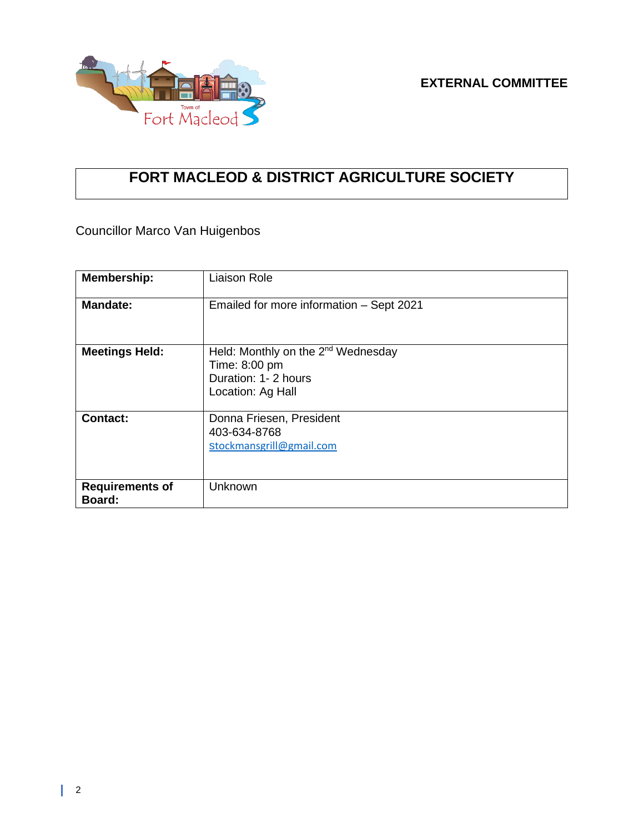



## **FORT MACLEOD & DISTRICT AGRICULTURE SOCIETY**

Councillor Marco Van Huigenbos

| <b>Membership:</b>               | <b>Liaison Role</b>                                                                                          |
|----------------------------------|--------------------------------------------------------------------------------------------------------------|
| <b>Mandate:</b>                  | Emailed for more information - Sept 2021                                                                     |
| <b>Meetings Held:</b>            | Held: Monthly on the 2 <sup>nd</sup> Wednesday<br>Time: 8:00 pm<br>Duration: 1- 2 hours<br>Location: Ag Hall |
| <b>Contact:</b>                  | Donna Friesen, President<br>403-634-8768<br>stockmansgrill@gmail.com                                         |
| <b>Requirements of</b><br>Board: | Unknown                                                                                                      |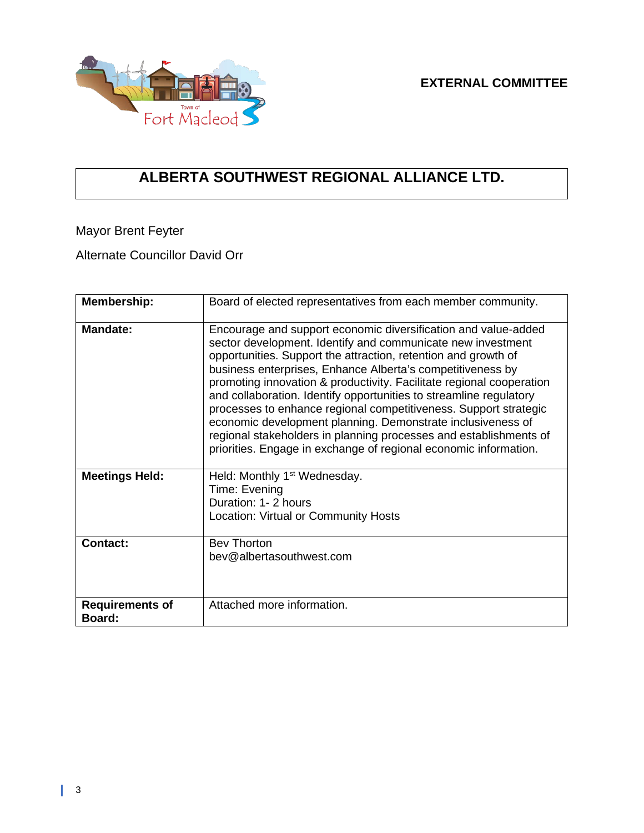

## **ALBERTA SOUTHWEST REGIONAL ALLIANCE LTD.**

Mayor Brent Feyter

Alternate Councillor David Orr

| <b>Membership:</b>               | Board of elected representatives from each member community.                                                                                                                                                                                                                                                                                                                                                                                                                                                                                                                                                                                                                            |
|----------------------------------|-----------------------------------------------------------------------------------------------------------------------------------------------------------------------------------------------------------------------------------------------------------------------------------------------------------------------------------------------------------------------------------------------------------------------------------------------------------------------------------------------------------------------------------------------------------------------------------------------------------------------------------------------------------------------------------------|
| Mandate:                         | Encourage and support economic diversification and value-added<br>sector development. Identify and communicate new investment<br>opportunities. Support the attraction, retention and growth of<br>business enterprises, Enhance Alberta's competitiveness by<br>promoting innovation & productivity. Facilitate regional cooperation<br>and collaboration. Identify opportunities to streamline regulatory<br>processes to enhance regional competitiveness. Support strategic<br>economic development planning. Demonstrate inclusiveness of<br>regional stakeholders in planning processes and establishments of<br>priorities. Engage in exchange of regional economic information. |
| <b>Meetings Held:</b>            | Held: Monthly 1 <sup>st</sup> Wednesday.<br>Time: Evening<br>Duration: 1-2 hours<br>Location: Virtual or Community Hosts                                                                                                                                                                                                                                                                                                                                                                                                                                                                                                                                                                |
| <b>Contact:</b>                  | <b>Bev Thorton</b><br>bey@albertasouthwest.com                                                                                                                                                                                                                                                                                                                                                                                                                                                                                                                                                                                                                                          |
| <b>Requirements of</b><br>Board: | Attached more information.                                                                                                                                                                                                                                                                                                                                                                                                                                                                                                                                                                                                                                                              |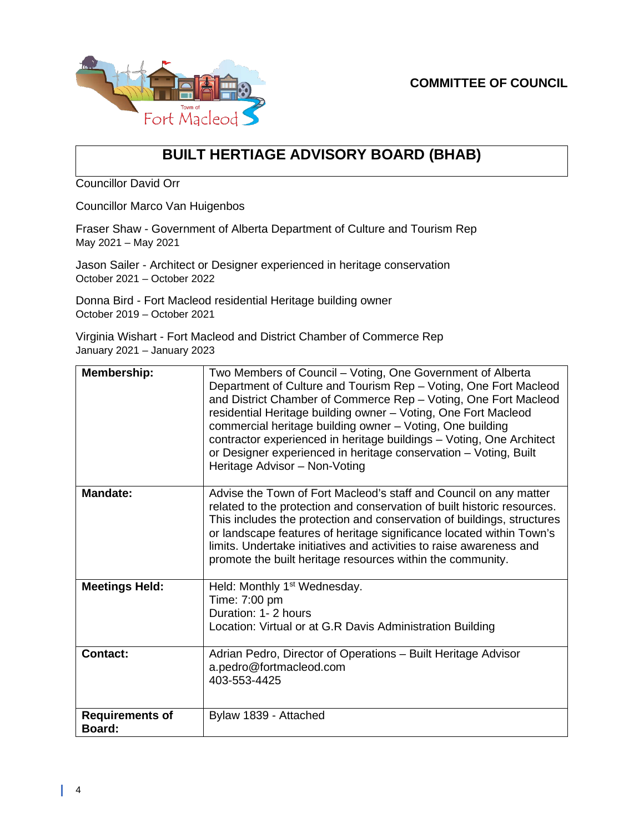



### **BUILT HERTIAGE ADVISORY BOARD (BHAB)**

Councillor David Orr

Councillor Marco Van Huigenbos

Fraser Shaw - Government of Alberta Department of Culture and Tourism Rep May 2021 – May 2021

Jason Sailer - Architect or Designer experienced in heritage conservation October 2021 – October 2022

Donna Bird - Fort Macleod residential Heritage building owner October 2019 – October 2021

Virginia Wishart - Fort Macleod and District Chamber of Commerce Rep January 2021 – January 2023

| Membership:                      | Two Members of Council – Voting, One Government of Alberta<br>Department of Culture and Tourism Rep - Voting, One Fort Macleod<br>and District Chamber of Commerce Rep - Voting, One Fort Macleod<br>residential Heritage building owner - Voting, One Fort Macleod<br>commercial heritage building owner - Voting, One building<br>contractor experienced in heritage buildings - Voting, One Architect<br>or Designer experienced in heritage conservation - Voting, Built<br>Heritage Advisor - Non-Voting |
|----------------------------------|---------------------------------------------------------------------------------------------------------------------------------------------------------------------------------------------------------------------------------------------------------------------------------------------------------------------------------------------------------------------------------------------------------------------------------------------------------------------------------------------------------------|
| <b>Mandate:</b>                  | Advise the Town of Fort Macleod's staff and Council on any matter<br>related to the protection and conservation of built historic resources.<br>This includes the protection and conservation of buildings, structures<br>or landscape features of heritage significance located within Town's<br>limits. Undertake initiatives and activities to raise awareness and<br>promote the built heritage resources within the community.                                                                           |
| <b>Meetings Held:</b>            | Held: Monthly 1 <sup>st</sup> Wednesday.<br>Time: 7:00 pm<br>Duration: 1- 2 hours<br>Location: Virtual or at G.R Davis Administration Building                                                                                                                                                                                                                                                                                                                                                                |
| <b>Contact:</b>                  | Adrian Pedro, Director of Operations - Built Heritage Advisor<br>a.pedro@fortmacleod.com<br>403-553-4425                                                                                                                                                                                                                                                                                                                                                                                                      |
| <b>Requirements of</b><br>Board: | Bylaw 1839 - Attached                                                                                                                                                                                                                                                                                                                                                                                                                                                                                         |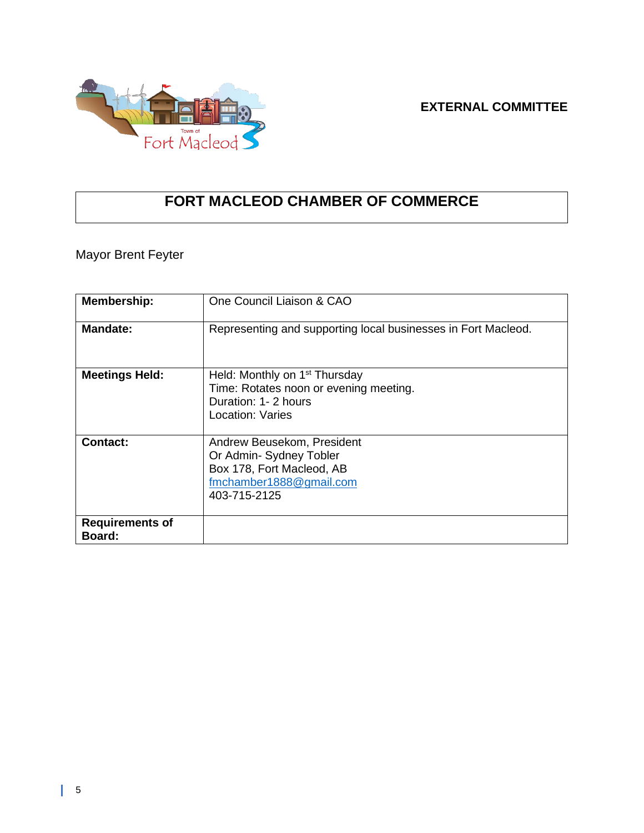### **EXTERNAL COMMITTEE**



### **FORT MACLEOD CHAMBER OF COMMERCE**

### Mayor Brent Feyter

| <b>Membership:</b>               | One Council Liaison & CAO                                                                                                       |
|----------------------------------|---------------------------------------------------------------------------------------------------------------------------------|
| <b>Mandate:</b>                  | Representing and supporting local businesses in Fort Macleod.                                                                   |
| <b>Meetings Held:</b>            | Held: Monthly on 1 <sup>st</sup> Thursday<br>Time: Rotates noon or evening meeting.<br>Duration: 1- 2 hours<br>Location: Varies |
| Contact:                         | Andrew Beusekom, President<br>Or Admin-Sydney Tobler<br>Box 178, Fort Macleod, AB<br>fmchamber1888@gmail.com<br>403-715-2125    |
| <b>Requirements of</b><br>Board: |                                                                                                                                 |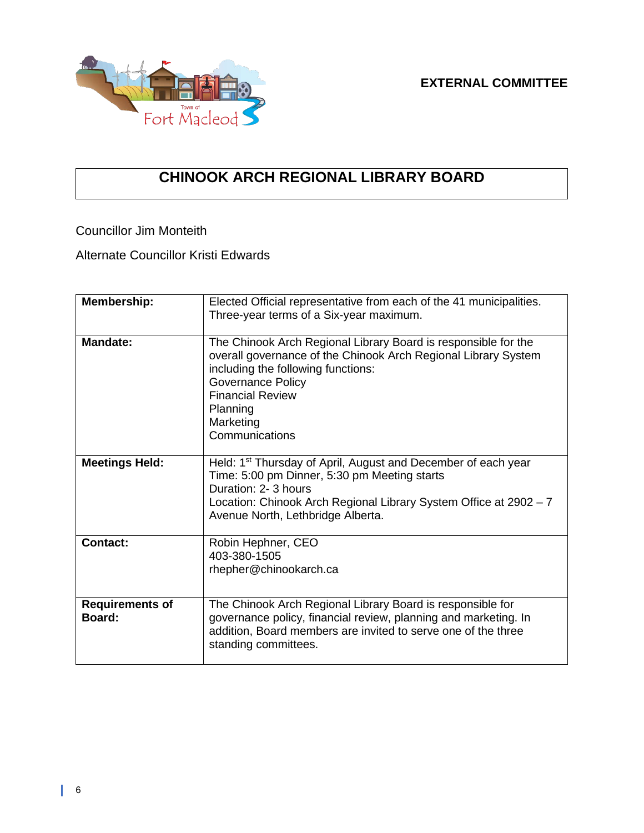

## **CHINOOK ARCH REGIONAL LIBRARY BOARD**

Councillor Jim Monteith

Alternate Councillor Kristi Edwards

| Membership:                      | Elected Official representative from each of the 41 municipalities.<br>Three-year terms of a Six-year maximum.                                                                                                                                                    |
|----------------------------------|-------------------------------------------------------------------------------------------------------------------------------------------------------------------------------------------------------------------------------------------------------------------|
| Mandate:                         | The Chinook Arch Regional Library Board is responsible for the<br>overall governance of the Chinook Arch Regional Library System<br>including the following functions:<br>Governance Policy<br><b>Financial Review</b><br>Planning<br>Marketing<br>Communications |
| <b>Meetings Held:</b>            | Held: 1 <sup>st</sup> Thursday of April, August and December of each year<br>Time: 5:00 pm Dinner, 5:30 pm Meeting starts<br>Duration: 2-3 hours<br>Location: Chinook Arch Regional Library System Office at 2902 - 7<br>Avenue North, Lethbridge Alberta.        |
| <b>Contact:</b>                  | Robin Hephner, CEO<br>403-380-1505<br>rhepher@chinookarch.ca                                                                                                                                                                                                      |
| <b>Requirements of</b><br>Board: | The Chinook Arch Regional Library Board is responsible for<br>governance policy, financial review, planning and marketing. In<br>addition, Board members are invited to serve one of the three<br>standing committees.                                            |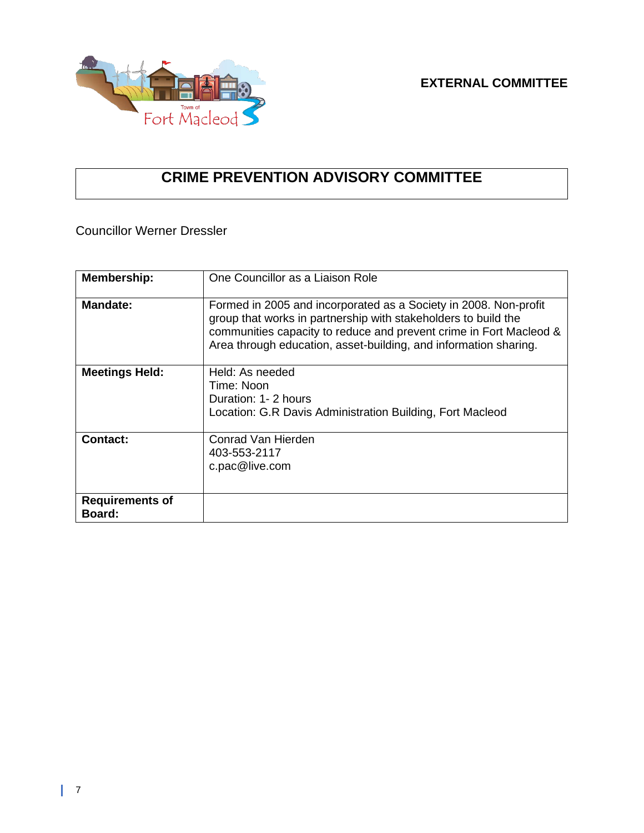

## **CRIME PREVENTION ADVISORY COMMITTEE**

Councillor Werner Dressler

| <b>Membership:</b>               | One Councillor as a Liaison Role                                                                                                                                                                                                                                             |
|----------------------------------|------------------------------------------------------------------------------------------------------------------------------------------------------------------------------------------------------------------------------------------------------------------------------|
| <b>Mandate:</b>                  | Formed in 2005 and incorporated as a Society in 2008. Non-profit<br>group that works in partnership with stakeholders to build the<br>communities capacity to reduce and prevent crime in Fort Macleod &<br>Area through education, asset-building, and information sharing. |
| <b>Meetings Held:</b>            | Held: As needed<br>Time: Noon<br>Duration: 1-2 hours<br>Location: G.R Davis Administration Building, Fort Macleod                                                                                                                                                            |
| Contact:                         | Conrad Van Hierden<br>403-553-2117<br>c.pac@live.com                                                                                                                                                                                                                         |
| <b>Requirements of</b><br>Board: |                                                                                                                                                                                                                                                                              |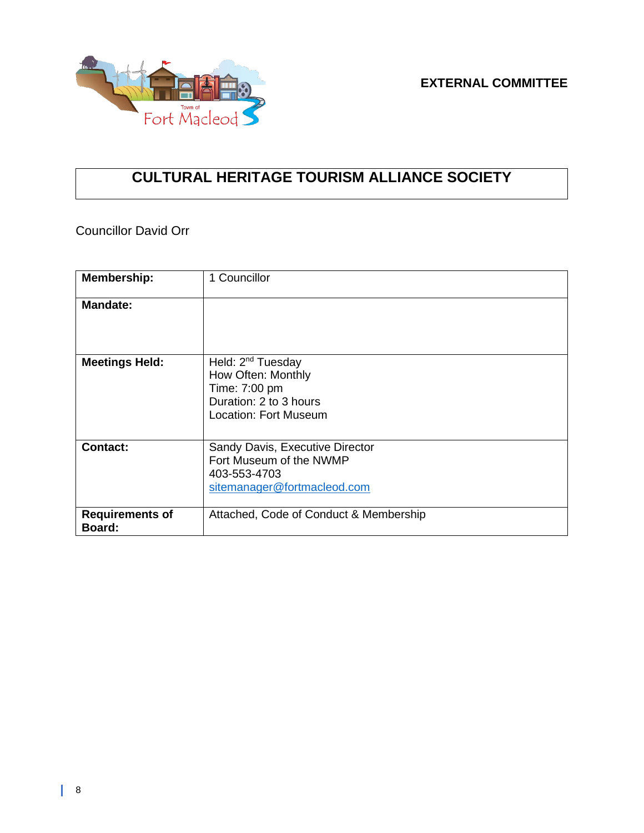

## **CULTURAL HERITAGE TOURISM ALLIANCE SOCIETY**

Councillor David Orr

| <b>Membership:</b>               | 1 Councillor                                                                                                            |
|----------------------------------|-------------------------------------------------------------------------------------------------------------------------|
| <b>Mandate:</b>                  |                                                                                                                         |
| <b>Meetings Held:</b>            | Held: 2 <sup>nd</sup> Tuesday<br>How Often: Monthly<br>Time: 7:00 pm<br>Duration: 2 to 3 hours<br>Location: Fort Museum |
| Contact:                         | Sandy Davis, Executive Director<br>Fort Museum of the NWMP<br>403-553-4703<br>sitemanager@fortmacleod.com               |
| <b>Requirements of</b><br>Board: | Attached, Code of Conduct & Membership                                                                                  |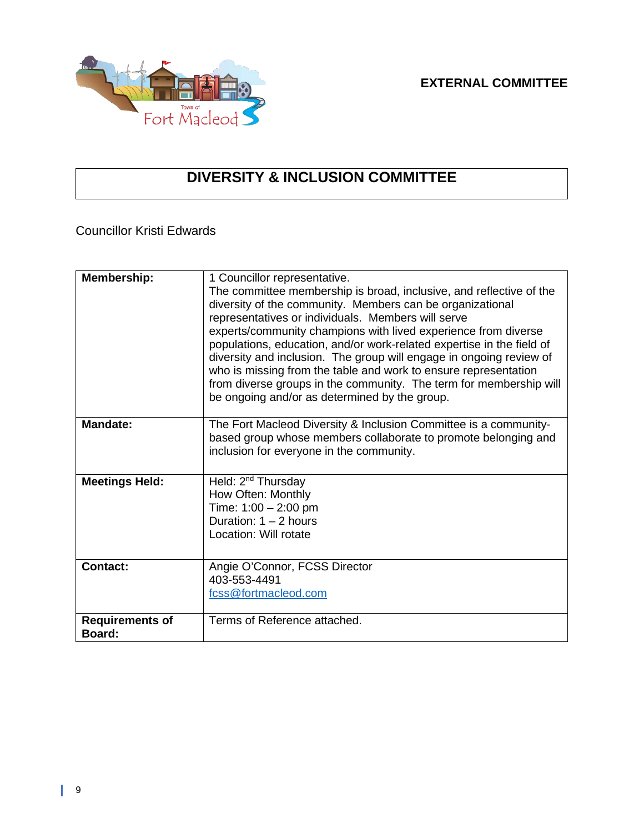

## **DIVERSITY & INCLUSION COMMITTEE**

Councillor Kristi Edwards

| <b>Membership:</b>               | 1 Councillor representative.<br>The committee membership is broad, inclusive, and reflective of the<br>diversity of the community. Members can be organizational<br>representatives or individuals. Members will serve<br>experts/community champions with lived experience from diverse<br>populations, education, and/or work-related expertise in the field of<br>diversity and inclusion. The group will engage in ongoing review of<br>who is missing from the table and work to ensure representation<br>from diverse groups in the community. The term for membership will<br>be ongoing and/or as determined by the group. |
|----------------------------------|------------------------------------------------------------------------------------------------------------------------------------------------------------------------------------------------------------------------------------------------------------------------------------------------------------------------------------------------------------------------------------------------------------------------------------------------------------------------------------------------------------------------------------------------------------------------------------------------------------------------------------|
| <b>Mandate:</b>                  | The Fort Macleod Diversity & Inclusion Committee is a community-<br>based group whose members collaborate to promote belonging and<br>inclusion for everyone in the community.                                                                                                                                                                                                                                                                                                                                                                                                                                                     |
| <b>Meetings Held:</b>            | Held: 2 <sup>nd</sup> Thursday<br>How Often: Monthly<br>Time: $1:00 - 2:00$ pm<br>Duration: $1 - 2$ hours<br>Location: Will rotate                                                                                                                                                                                                                                                                                                                                                                                                                                                                                                 |
| <b>Contact:</b>                  | Angie O'Connor, FCSS Director<br>403-553-4491<br>fcss@fortmacleod.com                                                                                                                                                                                                                                                                                                                                                                                                                                                                                                                                                              |
| <b>Requirements of</b><br>Board: | Terms of Reference attached.                                                                                                                                                                                                                                                                                                                                                                                                                                                                                                                                                                                                       |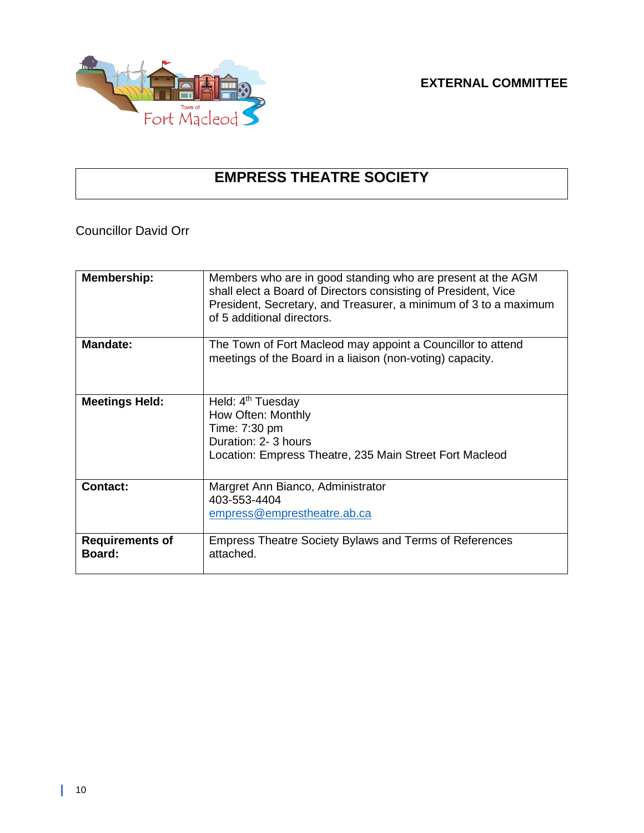

**EXTERNAL COMMITTEE**

## **EMPRESS THEATRE SOCIETY**

Councillor David Orr

| <b>Membership:</b>                      | Members who are in good standing who are present at the AGM<br>shall elect a Board of Directors consisting of President, Vice<br>President, Secretary, and Treasurer, a minimum of 3 to a maximum<br>of 5 additional directors. |
|-----------------------------------------|---------------------------------------------------------------------------------------------------------------------------------------------------------------------------------------------------------------------------------|
| <b>Mandate:</b>                         | The Town of Fort Macleod may appoint a Councillor to attend<br>meetings of the Board in a liaison (non-voting) capacity.                                                                                                        |
| <b>Meetings Held:</b>                   | Held: 4 <sup>th</sup> Tuesday<br>How Often: Monthly<br>Time: 7:30 pm<br>Duration: 2-3 hours<br>Location: Empress Theatre, 235 Main Street Fort Macleod                                                                          |
| <b>Contact:</b>                         | Margret Ann Bianco, Administrator<br>403-553-4404<br>empress@emprestheatre.ab.ca                                                                                                                                                |
| <b>Requirements of</b><br><b>Board:</b> | <b>Empress Theatre Society Bylaws and Terms of References</b><br>attached.                                                                                                                                                      |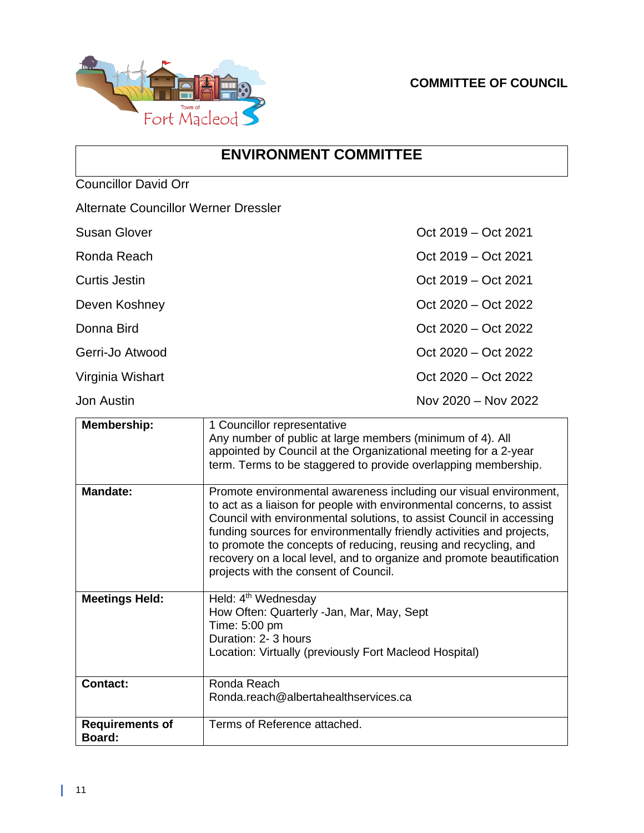

### **ENVIRONMENT COMMITTEE**

Councillor David Orr

| <b>Alternate Councillor Werner Dressler</b> |                                                                                                                                                                                                                                                                                                                                                                                                                                                                                                                                                                                                 |
|---------------------------------------------|-------------------------------------------------------------------------------------------------------------------------------------------------------------------------------------------------------------------------------------------------------------------------------------------------------------------------------------------------------------------------------------------------------------------------------------------------------------------------------------------------------------------------------------------------------------------------------------------------|
| <b>Susan Glover</b>                         | Oct 2019 – Oct 2021                                                                                                                                                                                                                                                                                                                                                                                                                                                                                                                                                                             |
| Ronda Reach                                 | Oct 2019 – Oct 2021                                                                                                                                                                                                                                                                                                                                                                                                                                                                                                                                                                             |
| <b>Curtis Jestin</b>                        | Oct 2019 – Oct 2021                                                                                                                                                                                                                                                                                                                                                                                                                                                                                                                                                                             |
| Deven Koshney                               | Oct 2020 – Oct 2022                                                                                                                                                                                                                                                                                                                                                                                                                                                                                                                                                                             |
| Donna Bird                                  | Oct 2020 - Oct 2022                                                                                                                                                                                                                                                                                                                                                                                                                                                                                                                                                                             |
| Gerri-Jo Atwood                             | Oct 2020 - Oct 2022                                                                                                                                                                                                                                                                                                                                                                                                                                                                                                                                                                             |
| Virginia Wishart                            | Oct 2020 – Oct 2022                                                                                                                                                                                                                                                                                                                                                                                                                                                                                                                                                                             |
| <b>Jon Austin</b>                           | Nov 2020 - Nov 2022                                                                                                                                                                                                                                                                                                                                                                                                                                                                                                                                                                             |
| <b>Membership:</b><br><b>Mandate:</b>       | 1 Councillor representative<br>Any number of public at large members (minimum of 4). All<br>appointed by Council at the Organizational meeting for a 2-year<br>term. Terms to be staggered to provide overlapping membership.<br>Promote environmental awareness including our visual environment,<br>to act as a liaison for people with environmental concerns, to assist<br>Council with environmental solutions, to assist Council in accessing<br>funding sources for environmentally friendly activities and projects,<br>to promote the concepts of reducing, reusing and recycling, and |
|                                             | recovery on a local level, and to organize and promote beautification<br>projects with the consent of Council.                                                                                                                                                                                                                                                                                                                                                                                                                                                                                  |
| <b>Meetings Held:</b>                       | Held: 4 <sup>th</sup> Wednesday<br>How Often: Quarterly -Jan, Mar, May, Sept<br>Time: 5:00 pm<br>Duration: 2-3 hours<br>Location: Virtually (previously Fort Macleod Hospital)                                                                                                                                                                                                                                                                                                                                                                                                                  |
| <b>Contact:</b>                             | Ronda Reach<br>Ronda.reach@albertahealthservices.ca                                                                                                                                                                                                                                                                                                                                                                                                                                                                                                                                             |
| <b>Requirements of</b><br>Board:            | Terms of Reference attached.                                                                                                                                                                                                                                                                                                                                                                                                                                                                                                                                                                    |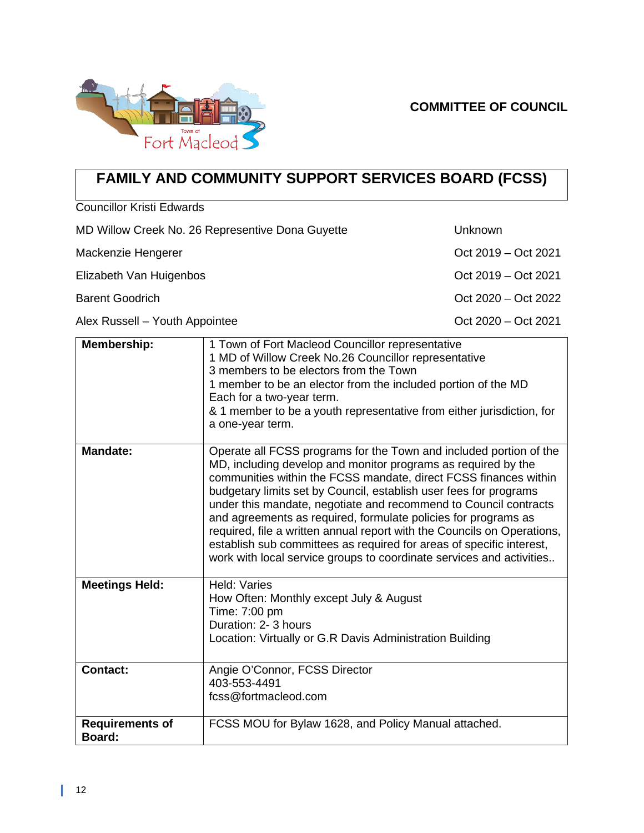#### **COMMITTEE OF COUNCIL**



# **FAMILY AND COMMUNITY SUPPORT SERVICES BOARD (FCSS)**

Councillor Kristi Edwards

| MD Willow Creek No. 26 Representive Dona Guyette | Unknown             |
|--------------------------------------------------|---------------------|
| Mackenzie Hengerer                               | Oct 2019 – Oct 2021 |
| Elizabeth Van Huigenbos                          | Oct 2019 – Oct 2021 |
| <b>Barent Goodrich</b>                           | Oct 2020 – Oct 2022 |
| Alex Russell - Youth Appointee                   | Oct 2020 – Oct 2021 |

| Membership:                      | 1 Town of Fort Macleod Councillor representative<br>1 MD of Willow Creek No.26 Councillor representative<br>3 members to be electors from the Town<br>1 member to be an elector from the included portion of the MD<br>Each for a two-year term.<br>& 1 member to be a youth representative from either jurisdiction, for<br>a one-year term.                                                                                                                                                                                                                                                                                                 |
|----------------------------------|-----------------------------------------------------------------------------------------------------------------------------------------------------------------------------------------------------------------------------------------------------------------------------------------------------------------------------------------------------------------------------------------------------------------------------------------------------------------------------------------------------------------------------------------------------------------------------------------------------------------------------------------------|
| <b>Mandate:</b>                  | Operate all FCSS programs for the Town and included portion of the<br>MD, including develop and monitor programs as required by the<br>communities within the FCSS mandate, direct FCSS finances within<br>budgetary limits set by Council, establish user fees for programs<br>under this mandate, negotiate and recommend to Council contracts<br>and agreements as required, formulate policies for programs as<br>required, file a written annual report with the Councils on Operations,<br>establish sub committees as required for areas of specific interest,<br>work with local service groups to coordinate services and activities |
| <b>Meetings Held:</b>            | Held: Varies<br>How Often: Monthly except July & August<br>Time: 7:00 pm<br>Duration: 2-3 hours<br>Location: Virtually or G.R Davis Administration Building                                                                                                                                                                                                                                                                                                                                                                                                                                                                                   |
| <b>Contact:</b>                  | Angie O'Connor, FCSS Director<br>403-553-4491<br>fcss@fortmacleod.com                                                                                                                                                                                                                                                                                                                                                                                                                                                                                                                                                                         |
| <b>Requirements of</b><br>Board: | FCSS MOU for Bylaw 1628, and Policy Manual attached.                                                                                                                                                                                                                                                                                                                                                                                                                                                                                                                                                                                          |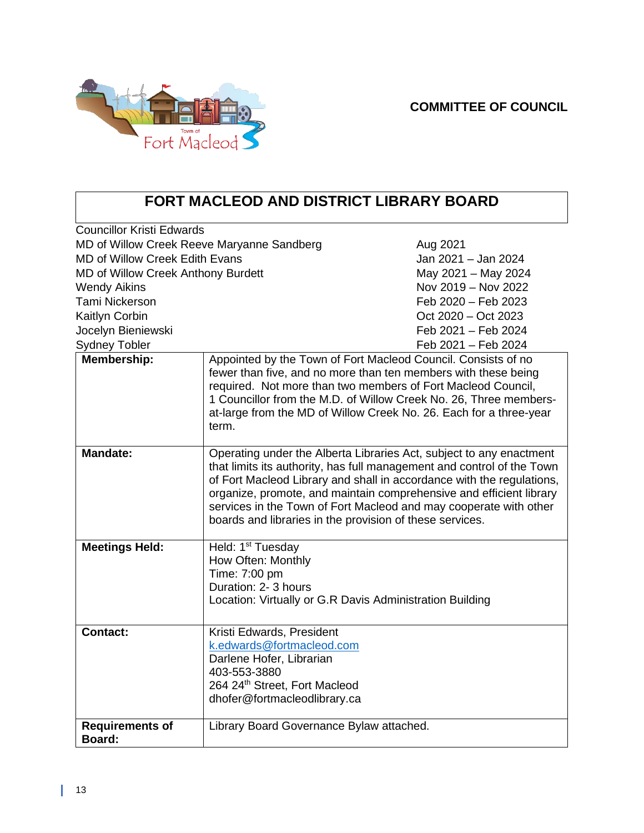

## **FORT MACLEOD AND DISTRICT LIBRARY BOARD**

| <b>Councillor Kristi Edwards</b>           |                                                                                                                                                                                                                                                                                                                                                                                                                                |                     |
|--------------------------------------------|--------------------------------------------------------------------------------------------------------------------------------------------------------------------------------------------------------------------------------------------------------------------------------------------------------------------------------------------------------------------------------------------------------------------------------|---------------------|
| MD of Willow Creek Reeve Maryanne Sandberg |                                                                                                                                                                                                                                                                                                                                                                                                                                | Aug 2021            |
| <b>MD of Willow Creek Edith Evans</b>      |                                                                                                                                                                                                                                                                                                                                                                                                                                | Jan 2021 - Jan 2024 |
| <b>MD of Willow Creek Anthony Burdett</b>  |                                                                                                                                                                                                                                                                                                                                                                                                                                | May 2021 - May 2024 |
| <b>Wendy Aikins</b>                        |                                                                                                                                                                                                                                                                                                                                                                                                                                | Nov 2019 - Nov 2022 |
| Tami Nickerson                             |                                                                                                                                                                                                                                                                                                                                                                                                                                | Feb 2020 - Feb 2023 |
| Kaitlyn Corbin                             |                                                                                                                                                                                                                                                                                                                                                                                                                                | Oct 2020 – Oct 2023 |
| Jocelyn Bieniewski                         |                                                                                                                                                                                                                                                                                                                                                                                                                                | Feb 2021 - Feb 2024 |
| <b>Sydney Tobler</b>                       |                                                                                                                                                                                                                                                                                                                                                                                                                                | Feb 2021 - Feb 2024 |
| <b>Membership:</b>                         | Appointed by the Town of Fort Macleod Council. Consists of no<br>fewer than five, and no more than ten members with these being<br>required. Not more than two members of Fort Macleod Council,<br>1 Councillor from the M.D. of Willow Creek No. 26, Three members-<br>at-large from the MD of Willow Creek No. 26. Each for a three-year<br>term.                                                                            |                     |
| <b>Mandate:</b>                            | Operating under the Alberta Libraries Act, subject to any enactment<br>that limits its authority, has full management and control of the Town<br>of Fort Macleod Library and shall in accordance with the regulations,<br>organize, promote, and maintain comprehensive and efficient library<br>services in the Town of Fort Macleod and may cooperate with other<br>boards and libraries in the provision of these services. |                     |
| <b>Meetings Held:</b>                      | Held: 1 <sup>st</sup> Tuesday<br>How Often: Monthly<br>Time: 7:00 pm<br>Duration: 2-3 hours<br>Location: Virtually or G.R Davis Administration Building                                                                                                                                                                                                                                                                        |                     |
| <b>Contact:</b>                            | Kristi Edwards, President<br>k.edwards@fortmacleod.com<br>Darlene Hofer, Librarian<br>403-553-3880<br>264 24th Street, Fort Macleod<br>dhofer@fortmacleodlibrary.ca                                                                                                                                                                                                                                                            |                     |
| <b>Requirements of</b><br>Board:           | Library Board Governance Bylaw attached.                                                                                                                                                                                                                                                                                                                                                                                       |                     |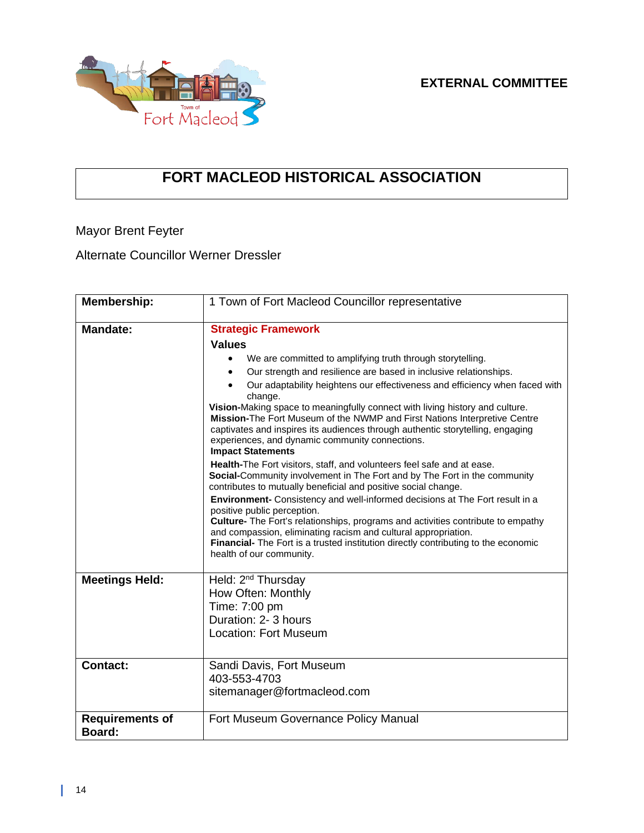

## **FORT MACLEOD HISTORICAL ASSOCIATION**

Mayor Brent Feyter

Alternate Councillor Werner Dressler

| Membership:                      | 1 Town of Fort Macleod Councillor representative                                                                                                                                                                                                                                                                                                                                    |
|----------------------------------|-------------------------------------------------------------------------------------------------------------------------------------------------------------------------------------------------------------------------------------------------------------------------------------------------------------------------------------------------------------------------------------|
| <b>Mandate:</b>                  | <b>Strategic Framework</b>                                                                                                                                                                                                                                                                                                                                                          |
|                                  | <b>Values</b>                                                                                                                                                                                                                                                                                                                                                                       |
|                                  | We are committed to amplifying truth through storytelling.<br>٠                                                                                                                                                                                                                                                                                                                     |
|                                  | Our strength and resilience are based in inclusive relationships.                                                                                                                                                                                                                                                                                                                   |
|                                  | Our adaptability heightens our effectiveness and efficiency when faced with<br>change.                                                                                                                                                                                                                                                                                              |
|                                  | Vision-Making space to meaningfully connect with living history and culture.<br>Mission-The Fort Museum of the NWMP and First Nations Interpretive Centre<br>captivates and inspires its audiences through authentic storytelling, engaging<br>experiences, and dynamic community connections.<br><b>Impact Statements</b>                                                          |
|                                  | Health-The Fort visitors, staff, and volunteers feel safe and at ease.<br>Social-Community involvement in The Fort and by The Fort in the community<br>contributes to mutually beneficial and positive social change.                                                                                                                                                               |
|                                  | Environment- Consistency and well-informed decisions at The Fort result in a<br>positive public perception.<br>Culture- The Fort's relationships, programs and activities contribute to empathy<br>and compassion, eliminating racism and cultural appropriation.<br>Financial- The Fort is a trusted institution directly contributing to the economic<br>health of our community. |
| <b>Meetings Held:</b>            | Held: 2 <sup>nd</sup> Thursday<br>How Often: Monthly<br>Time: 7:00 pm<br>Duration: 2-3 hours                                                                                                                                                                                                                                                                                        |
|                                  | <b>Location: Fort Museum</b>                                                                                                                                                                                                                                                                                                                                                        |
| <b>Contact:</b>                  | Sandi Davis, Fort Museum                                                                                                                                                                                                                                                                                                                                                            |
|                                  | 403-553-4703                                                                                                                                                                                                                                                                                                                                                                        |
|                                  | sitemanager@fortmacleod.com                                                                                                                                                                                                                                                                                                                                                         |
| <b>Requirements of</b><br>Board: | Fort Museum Governance Policy Manual                                                                                                                                                                                                                                                                                                                                                |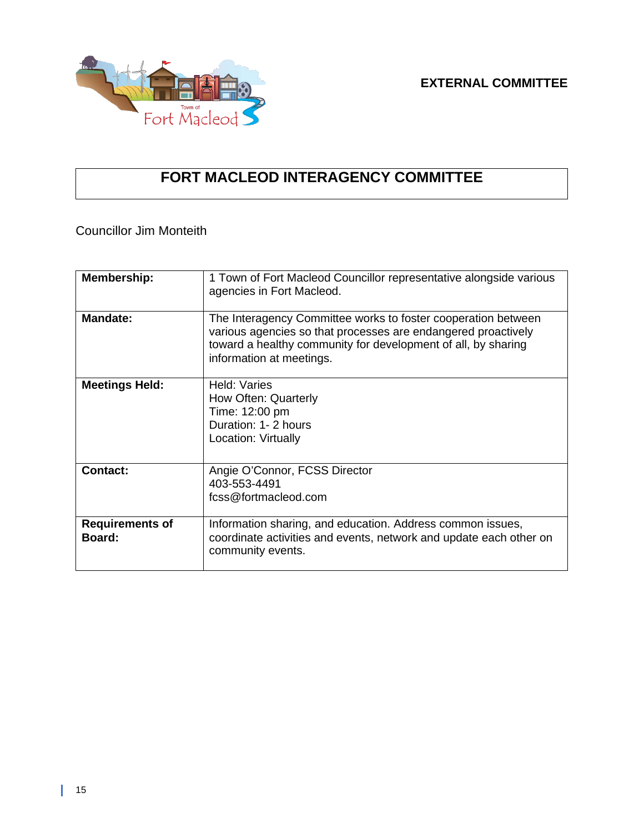

## **FORT MACLEOD INTERAGENCY COMMITTEE**

Councillor Jim Monteith

| <b>Membership:</b>               | 1 Town of Fort Macleod Councillor representative alongside various<br>agencies in Fort Macleod.                                                                                                                             |
|----------------------------------|-----------------------------------------------------------------------------------------------------------------------------------------------------------------------------------------------------------------------------|
| Mandate:                         | The Interagency Committee works to foster cooperation between<br>various agencies so that processes are endangered proactively<br>toward a healthy community for development of all, by sharing<br>information at meetings. |
| <b>Meetings Held:</b>            | Held: Varies<br>How Often: Quarterly<br>Time: 12:00 pm<br>Duration: 1-2 hours<br>Location: Virtually                                                                                                                        |
| <b>Contact:</b>                  | Angie O'Connor, FCSS Director<br>403-553-4491<br>fcss@fortmacleod.com                                                                                                                                                       |
| <b>Requirements of</b><br>Board: | Information sharing, and education. Address common issues,<br>coordinate activities and events, network and update each other on<br>community events.                                                                       |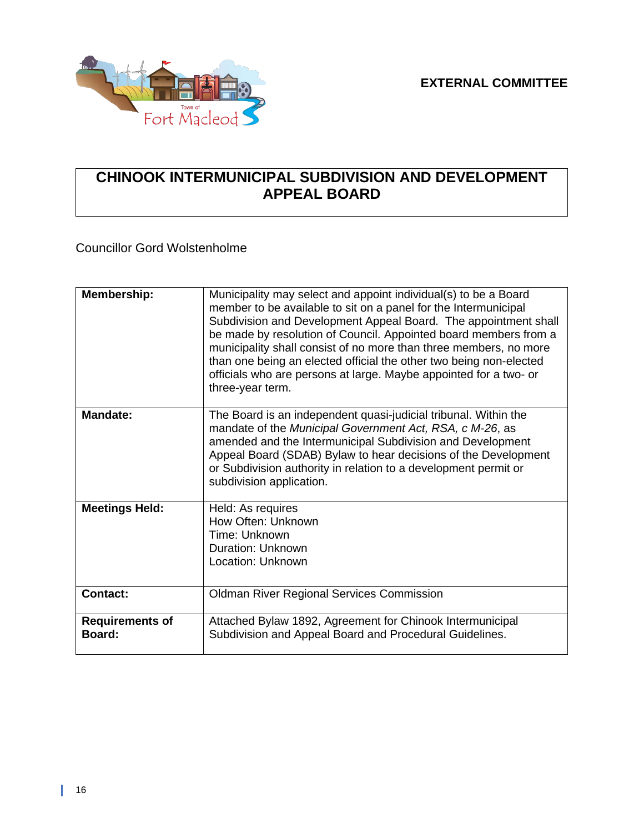

### **CHINOOK INTERMUNICIPAL SUBDIVISION AND DEVELOPMENT APPEAL BOARD**

Councillor Gord Wolstenholme

| Membership:                      | Municipality may select and appoint individual(s) to be a Board<br>member to be available to sit on a panel for the Intermunicipal<br>Subdivision and Development Appeal Board. The appointment shall<br>be made by resolution of Council. Appointed board members from a<br>municipality shall consist of no more than three members, no more<br>than one being an elected official the other two being non-elected<br>officials who are persons at large. Maybe appointed for a two- or<br>three-year term. |
|----------------------------------|---------------------------------------------------------------------------------------------------------------------------------------------------------------------------------------------------------------------------------------------------------------------------------------------------------------------------------------------------------------------------------------------------------------------------------------------------------------------------------------------------------------|
| <b>Mandate:</b>                  | The Board is an independent quasi-judicial tribunal. Within the<br>mandate of the Municipal Government Act, RSA, c M-26, as<br>amended and the Intermunicipal Subdivision and Development<br>Appeal Board (SDAB) Bylaw to hear decisions of the Development<br>or Subdivision authority in relation to a development permit or<br>subdivision application.                                                                                                                                                    |
| <b>Meetings Held:</b>            | Held: As requires<br>How Often: Unknown<br>Time: Unknown<br>Duration: Unknown<br>Location: Unknown                                                                                                                                                                                                                                                                                                                                                                                                            |
| <b>Contact:</b>                  | <b>Oldman River Regional Services Commission</b>                                                                                                                                                                                                                                                                                                                                                                                                                                                              |
| <b>Requirements of</b><br>Board: | Attached Bylaw 1892, Agreement for Chinook Intermunicipal<br>Subdivision and Appeal Board and Procedural Guidelines.                                                                                                                                                                                                                                                                                                                                                                                          |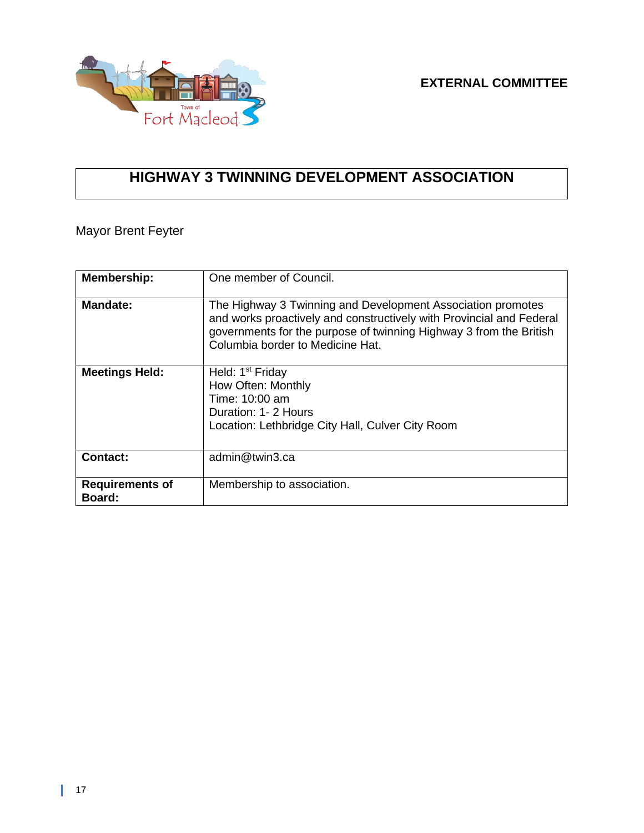

## **HIGHWAY 3 TWINNING DEVELOPMENT ASSOCIATION**

Mayor Brent Feyter

| <b>Membership:</b>               | One member of Council.                                                                                                                                                                                                                        |
|----------------------------------|-----------------------------------------------------------------------------------------------------------------------------------------------------------------------------------------------------------------------------------------------|
| <b>Mandate:</b>                  | The Highway 3 Twinning and Development Association promotes<br>and works proactively and constructively with Provincial and Federal<br>governments for the purpose of twinning Highway 3 from the British<br>Columbia border to Medicine Hat. |
| <b>Meetings Held:</b>            | Held: 1 <sup>st</sup> Friday<br>How Often: Monthly<br>Time: 10:00 am<br>Duration: 1-2 Hours<br>Location: Lethbridge City Hall, Culver City Room                                                                                               |
| <b>Contact:</b>                  | admin@twin3.ca                                                                                                                                                                                                                                |
| <b>Requirements of</b><br>Board: | Membership to association.                                                                                                                                                                                                                    |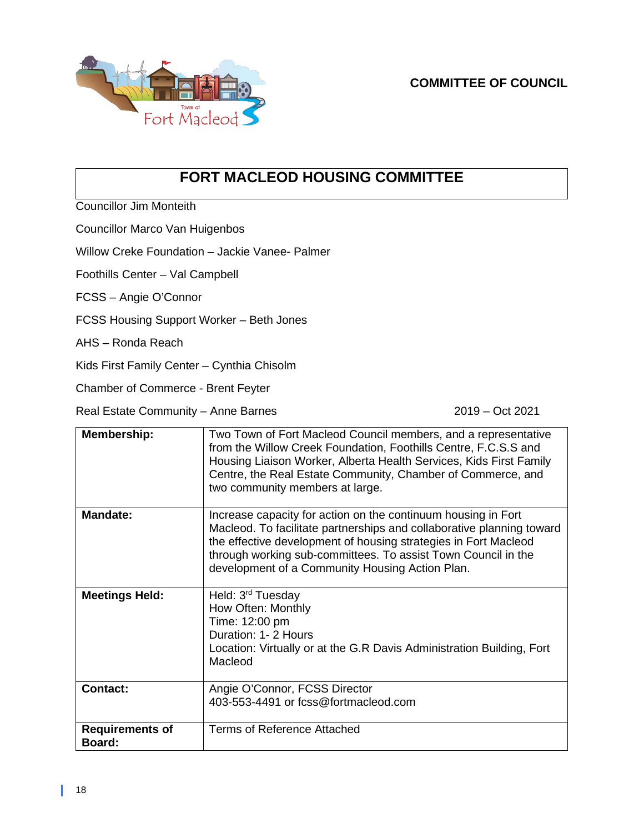

### **FORT MACLEOD HOUSING COMMITTEE**

Councillor Jim Monteith

Councillor Marco Van Huigenbos

Willow Creke Foundation – Jackie Vanee- Palmer

Foothills Center – Val Campbell

FCSS – Angie O'Connor

FCSS Housing Support Worker – Beth Jones

AHS – Ronda Reach

Kids First Family Center – Cynthia Chisolm

Chamber of Commerce - Brent Feyter

Real Estate Community – Anne Barnes 2019 – Oct 2021

| Membership:                             | Two Town of Fort Macleod Council members, and a representative<br>from the Willow Creek Foundation, Foothills Centre, F.C.S.S and<br>Housing Liaison Worker, Alberta Health Services, Kids First Family<br>Centre, the Real Estate Community, Chamber of Commerce, and<br>two community members at large.                     |
|-----------------------------------------|-------------------------------------------------------------------------------------------------------------------------------------------------------------------------------------------------------------------------------------------------------------------------------------------------------------------------------|
| <b>Mandate:</b>                         | Increase capacity for action on the continuum housing in Fort<br>Macleod. To facilitate partnerships and collaborative planning toward<br>the effective development of housing strategies in Fort Macleod<br>through working sub-committees. To assist Town Council in the<br>development of a Community Housing Action Plan. |
| <b>Meetings Held:</b>                   | Held: 3 <sup>rd</sup> Tuesday<br>How Often: Monthly<br>Time: 12:00 pm<br>Duration: 1-2 Hours<br>Location: Virtually or at the G.R Davis Administration Building, Fort<br>Macleod                                                                                                                                              |
| <b>Contact:</b>                         | Angie O'Connor, FCSS Director<br>403-553-4491 or fcss@fortmacleod.com                                                                                                                                                                                                                                                         |
| <b>Requirements of</b><br><b>Board:</b> | Terms of Reference Attached                                                                                                                                                                                                                                                                                                   |

L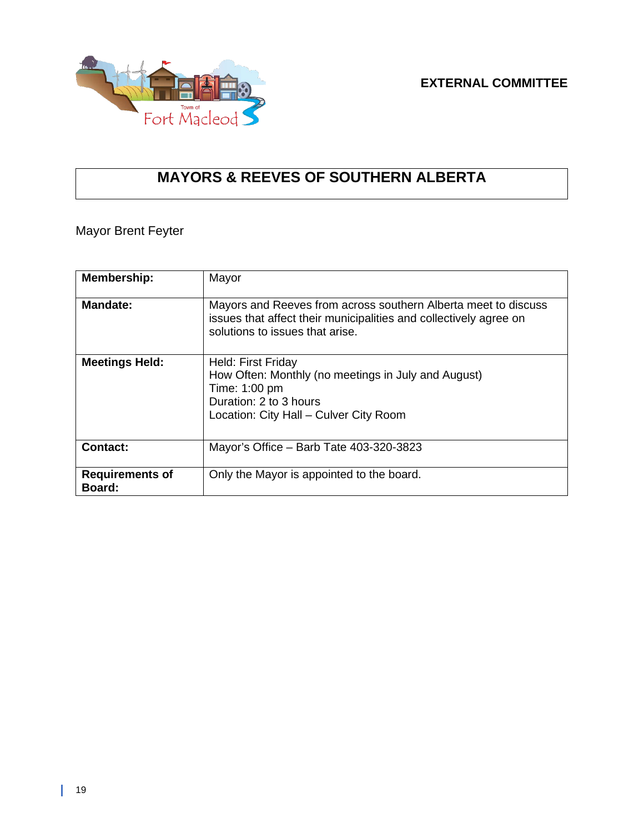

## **MAYORS & REEVES OF SOUTHERN ALBERTA**

Mayor Brent Feyter

| <b>Membership:</b>               | Mayor                                                                                                                                                                  |
|----------------------------------|------------------------------------------------------------------------------------------------------------------------------------------------------------------------|
| <b>Mandate:</b>                  | Mayors and Reeves from across southern Alberta meet to discuss<br>issues that affect their municipalities and collectively agree on<br>solutions to issues that arise. |
| <b>Meetings Held:</b>            | Held: First Friday<br>How Often: Monthly (no meetings in July and August)<br>Time: 1:00 pm<br>Duration: 2 to 3 hours<br>Location: City Hall - Culver City Room         |
| <b>Contact:</b>                  | Mayor's Office – Barb Tate 403-320-3823                                                                                                                                |
| <b>Requirements of</b><br>Board: | Only the Mayor is appointed to the board.                                                                                                                              |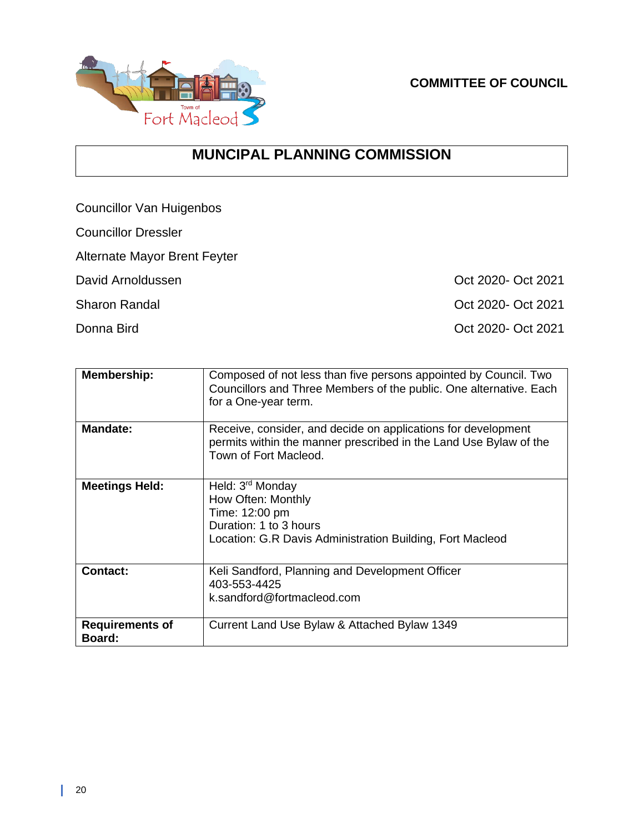

**COMMITTEE OF COUNCIL**

### **MUNCIPAL PLANNING COMMISSION**

Councillor Van Huigenbos

Councillor Dressler

Alternate Mayor Brent Feyter

David Arnoldussen **David Arnoldussen** Context Context Context Context Context Context Context Context Context Context Context Context Context Context Context Context Context Context Context Context Context Context Context

Sharon Randal **Oct 2020** Oct 2021

Donna Bird **Oct 2020** Oct 2021

| <b>Membership:</b>               | Composed of not less than five persons appointed by Council. Two<br>Councillors and Three Members of the public. One alternative. Each<br>for a One-year term. |
|----------------------------------|----------------------------------------------------------------------------------------------------------------------------------------------------------------|
| <b>Mandate:</b>                  | Receive, consider, and decide on applications for development<br>permits within the manner prescribed in the Land Use Bylaw of the<br>Town of Fort Macleod.    |
| <b>Meetings Held:</b>            | Held: 3 <sup>rd</sup> Monday<br>How Often: Monthly<br>Time: 12:00 pm<br>Duration: 1 to 3 hours<br>Location: G.R Davis Administration Building, Fort Macleod    |
| <b>Contact:</b>                  | Keli Sandford, Planning and Development Officer<br>403-553-4425<br>k.sandford@fortmacleod.com                                                                  |
| <b>Requirements of</b><br>Board: | Current Land Use Bylaw & Attached Bylaw 1349                                                                                                                   |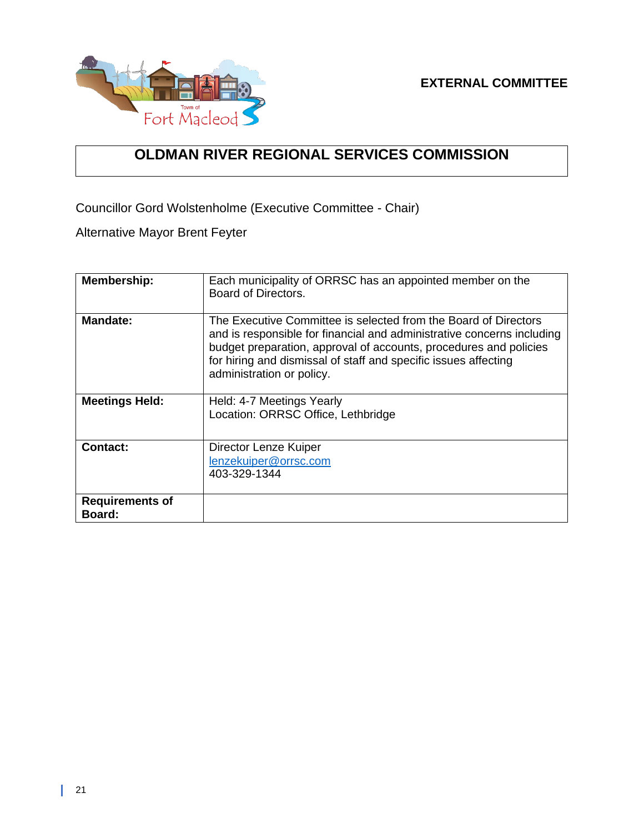

### **OLDMAN RIVER REGIONAL SERVICES COMMISSION**

Councillor Gord Wolstenholme (Executive Committee - Chair)

Alternative Mayor Brent Feyter

| <b>Membership:</b>               | Each municipality of ORRSC has an appointed member on the<br>Board of Directors.                                                                                                                                                                                                                               |
|----------------------------------|----------------------------------------------------------------------------------------------------------------------------------------------------------------------------------------------------------------------------------------------------------------------------------------------------------------|
| <b>Mandate:</b>                  | The Executive Committee is selected from the Board of Directors<br>and is responsible for financial and administrative concerns including<br>budget preparation, approval of accounts, procedures and policies<br>for hiring and dismissal of staff and specific issues affecting<br>administration or policy. |
| <b>Meetings Held:</b>            | Held: 4-7 Meetings Yearly<br>Location: ORRSC Office, Lethbridge                                                                                                                                                                                                                                                |
| Contact:                         | Director Lenze Kuiper<br>lenzekuiper@orrsc.com<br>403-329-1344                                                                                                                                                                                                                                                 |
| <b>Requirements of</b><br>Board: |                                                                                                                                                                                                                                                                                                                |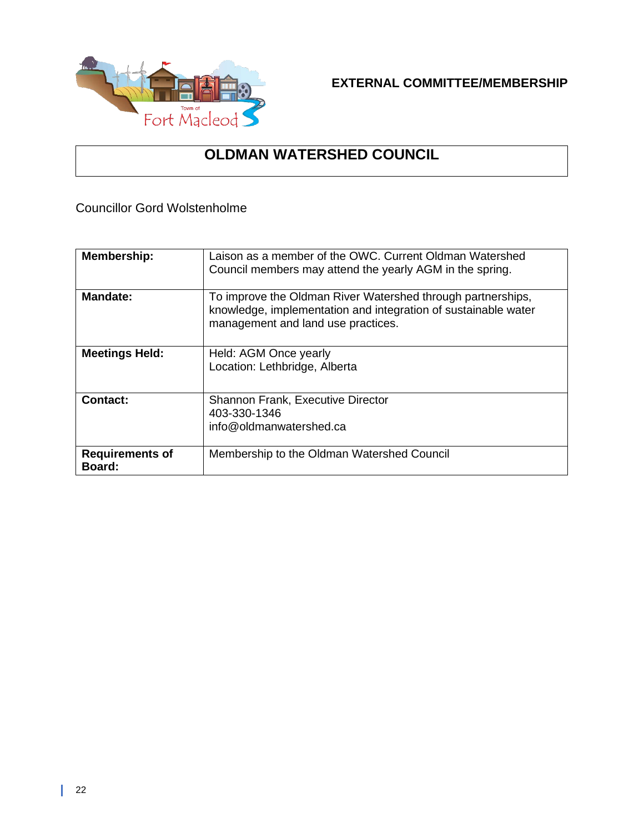

**EXTERNAL COMMITTEE/MEMBERSHIP**

### **OLDMAN WATERSHED COUNCIL**

Councillor Gord Wolstenholme

| <b>Membership:</b>                      | Laison as a member of the OWC. Current Oldman Watershed<br>Council members may attend the yearly AGM in the spring.                                                 |
|-----------------------------------------|---------------------------------------------------------------------------------------------------------------------------------------------------------------------|
| <b>Mandate:</b>                         | To improve the Oldman River Watershed through partnerships,<br>knowledge, implementation and integration of sustainable water<br>management and land use practices. |
| <b>Meetings Held:</b>                   | Held: AGM Once yearly<br>Location: Lethbridge, Alberta                                                                                                              |
| Contact:                                | <b>Shannon Frank, Executive Director</b><br>403-330-1346<br>info@oldmanwatershed.ca                                                                                 |
| <b>Requirements of</b><br><b>Board:</b> | Membership to the Oldman Watershed Council                                                                                                                          |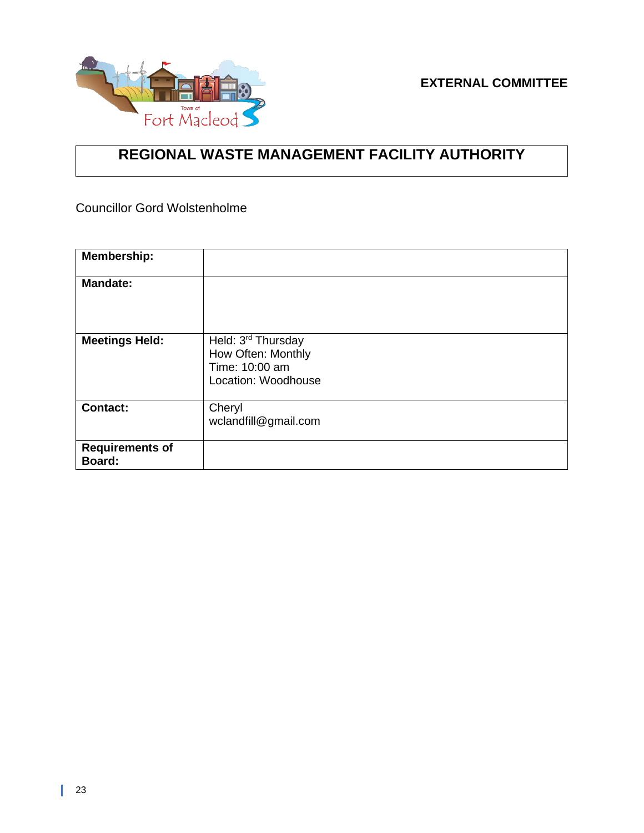

### **REGIONAL WASTE MANAGEMENT FACILITY AUTHORITY**

Councillor Gord Wolstenholme

| <b>Membership:</b>               |                                                                                   |
|----------------------------------|-----------------------------------------------------------------------------------|
| <b>Mandate:</b>                  |                                                                                   |
| <b>Meetings Held:</b>            | Held: 3rd Thursday<br>How Often: Monthly<br>Time: 10:00 am<br>Location: Woodhouse |
| <b>Contact:</b>                  | Cheryl<br>wclandfill@gmail.com                                                    |
| <b>Requirements of</b><br>Board: |                                                                                   |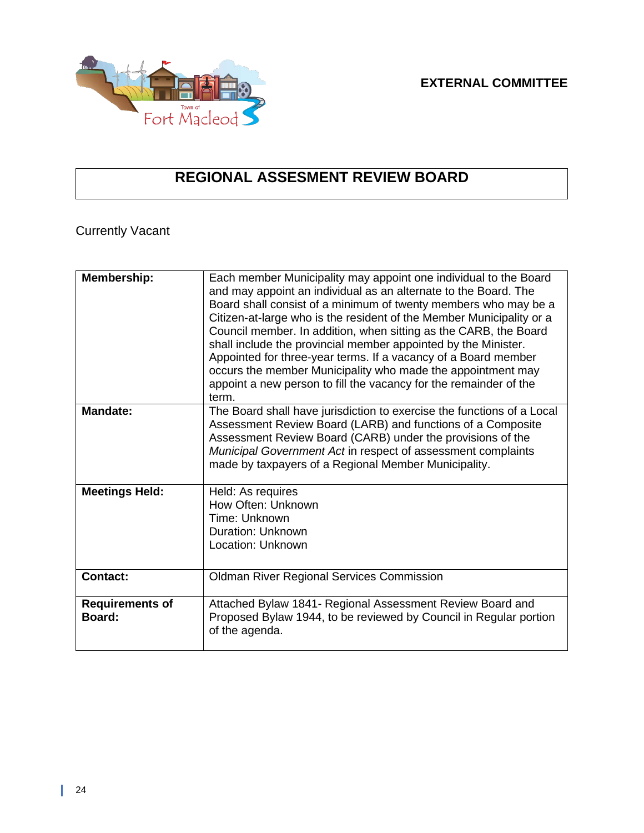

## **REGIONAL ASSESMENT REVIEW BOARD**

### Currently Vacant

| <b>Membership:</b>               | Each member Municipality may appoint one individual to the Board<br>and may appoint an individual as an alternate to the Board. The<br>Board shall consist of a minimum of twenty members who may be a<br>Citizen-at-large who is the resident of the Member Municipality or a<br>Council member. In addition, when sitting as the CARB, the Board<br>shall include the provincial member appointed by the Minister.<br>Appointed for three-year terms. If a vacancy of a Board member<br>occurs the member Municipality who made the appointment may<br>appoint a new person to fill the vacancy for the remainder of the<br>term. |
|----------------------------------|-------------------------------------------------------------------------------------------------------------------------------------------------------------------------------------------------------------------------------------------------------------------------------------------------------------------------------------------------------------------------------------------------------------------------------------------------------------------------------------------------------------------------------------------------------------------------------------------------------------------------------------|
| <b>Mandate:</b>                  | The Board shall have jurisdiction to exercise the functions of a Local<br>Assessment Review Board (LARB) and functions of a Composite<br>Assessment Review Board (CARB) under the provisions of the<br>Municipal Government Act in respect of assessment complaints<br>made by taxpayers of a Regional Member Municipality.                                                                                                                                                                                                                                                                                                         |
| <b>Meetings Held:</b>            | Held: As requires<br>How Often: Unknown<br>Time: Unknown<br><b>Duration: Unknown</b><br>Location: Unknown                                                                                                                                                                                                                                                                                                                                                                                                                                                                                                                           |
| <b>Contact:</b>                  | <b>Oldman River Regional Services Commission</b>                                                                                                                                                                                                                                                                                                                                                                                                                                                                                                                                                                                    |
| <b>Requirements of</b><br>Board: | Attached Bylaw 1841- Regional Assessment Review Board and<br>Proposed Bylaw 1944, to be reviewed by Council in Regular portion<br>of the agenda.                                                                                                                                                                                                                                                                                                                                                                                                                                                                                    |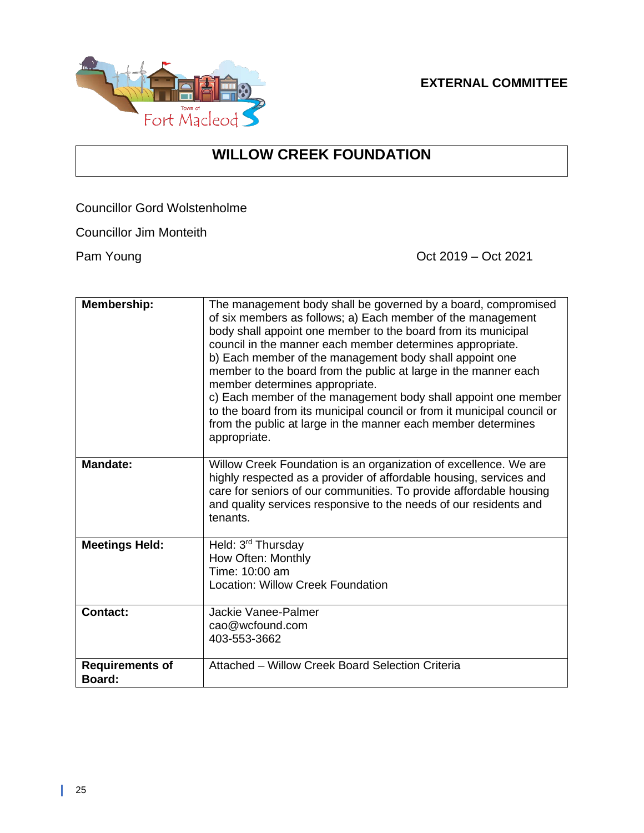#### **EXTERNAL COMMITTEE**



### **WILLOW CREEK FOUNDATION**

Councillor Gord Wolstenholme

Councillor Jim Monteith

Pam Young **Pam Young Pam Young** 

| Membership:                      | The management body shall be governed by a board, compromised<br>of six members as follows; a) Each member of the management<br>body shall appoint one member to the board from its municipal<br>council in the manner each member determines appropriate.<br>b) Each member of the management body shall appoint one<br>member to the board from the public at large in the manner each<br>member determines appropriate.<br>c) Each member of the management body shall appoint one member<br>to the board from its municipal council or from it municipal council or<br>from the public at large in the manner each member determines<br>appropriate. |
|----------------------------------|----------------------------------------------------------------------------------------------------------------------------------------------------------------------------------------------------------------------------------------------------------------------------------------------------------------------------------------------------------------------------------------------------------------------------------------------------------------------------------------------------------------------------------------------------------------------------------------------------------------------------------------------------------|
| <b>Mandate:</b>                  | Willow Creek Foundation is an organization of excellence. We are<br>highly respected as a provider of affordable housing, services and<br>care for seniors of our communities. To provide affordable housing<br>and quality services responsive to the needs of our residents and<br>tenants.                                                                                                                                                                                                                                                                                                                                                            |
| <b>Meetings Held:</b>            | Held: 3 <sup>rd</sup> Thursday<br>How Often: Monthly<br>Time: 10:00 am<br>Location: Willow Creek Foundation                                                                                                                                                                                                                                                                                                                                                                                                                                                                                                                                              |
| <b>Contact:</b>                  | Jackie Vanee-Palmer<br>cao@wcfound.com<br>403-553-3662                                                                                                                                                                                                                                                                                                                                                                                                                                                                                                                                                                                                   |
| <b>Requirements of</b><br>Board: | Attached - Willow Creek Board Selection Criteria                                                                                                                                                                                                                                                                                                                                                                                                                                                                                                                                                                                                         |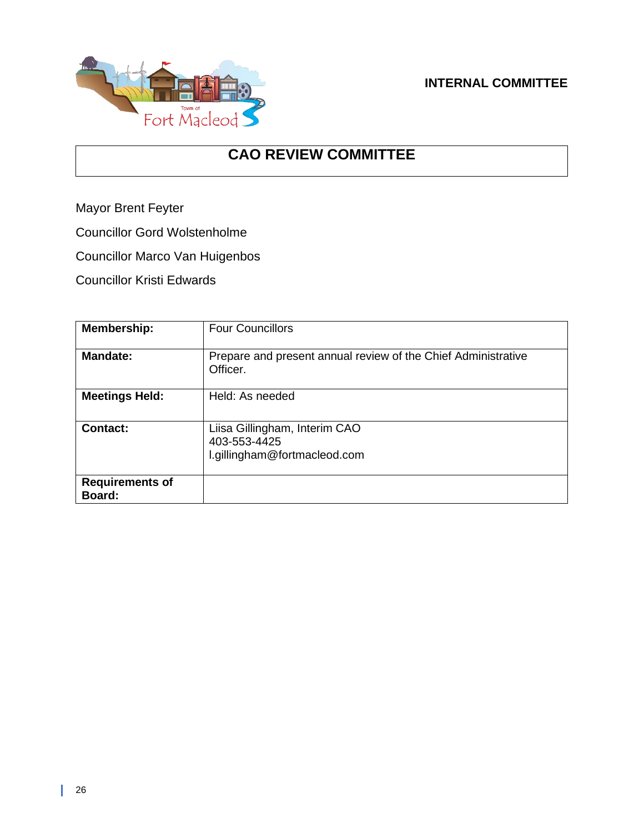#### **INTERNAL COMMITTEE**



### **CAO REVIEW COMMITTEE**

Mayor Brent Feyter

Councillor Gord Wolstenholme

Councillor Marco Van Huigenbos

Councillor Kristi Edwards

| <b>Membership:</b>               | <b>Four Councillors</b>                                                       |
|----------------------------------|-------------------------------------------------------------------------------|
| <b>Mandate:</b>                  | Prepare and present annual review of the Chief Administrative<br>Officer.     |
| <b>Meetings Held:</b>            | Held: As needed                                                               |
| <b>Contact:</b>                  | Liisa Gillingham, Interim CAO<br>403-553-4425<br>l.gillingham@fortmacleod.com |
| <b>Requirements of</b><br>Board: |                                                                               |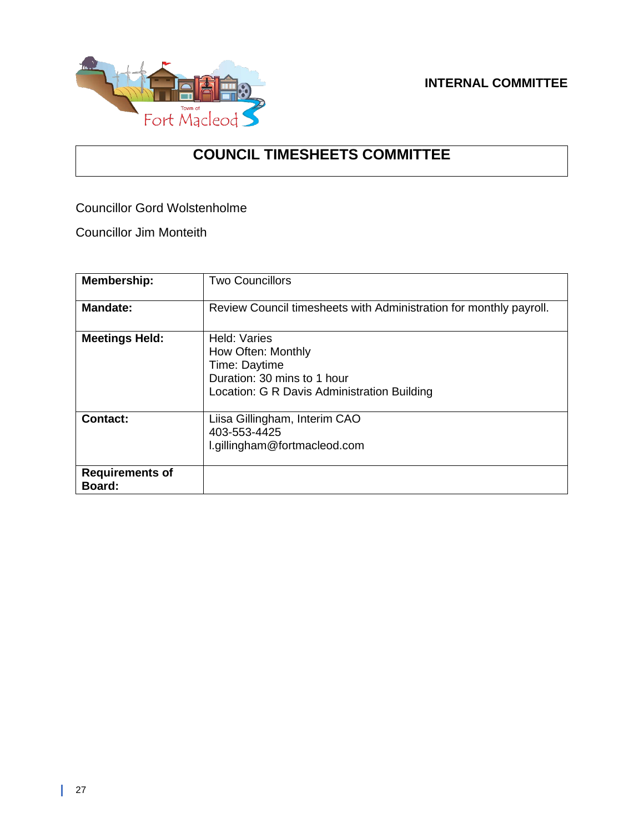

#### **INTERNAL COMMITTEE**

### **COUNCIL TIMESHEETS COMMITTEE**

Councillor Gord Wolstenholme

Councillor Jim Monteith

| <b>Membership:</b>               | <b>Two Councillors</b>                                                                                                            |
|----------------------------------|-----------------------------------------------------------------------------------------------------------------------------------|
| <b>Mandate:</b>                  | Review Council timesheets with Administration for monthly payroll.                                                                |
| <b>Meetings Held:</b>            | Held: Varies<br>How Often: Monthly<br>Time: Daytime<br>Duration: 30 mins to 1 hour<br>Location: G R Davis Administration Building |
| <b>Contact:</b>                  | Liisa Gillingham, Interim CAO<br>403-553-4425<br>l.gillingham@fortmacleod.com                                                     |
| <b>Requirements of</b><br>Board: |                                                                                                                                   |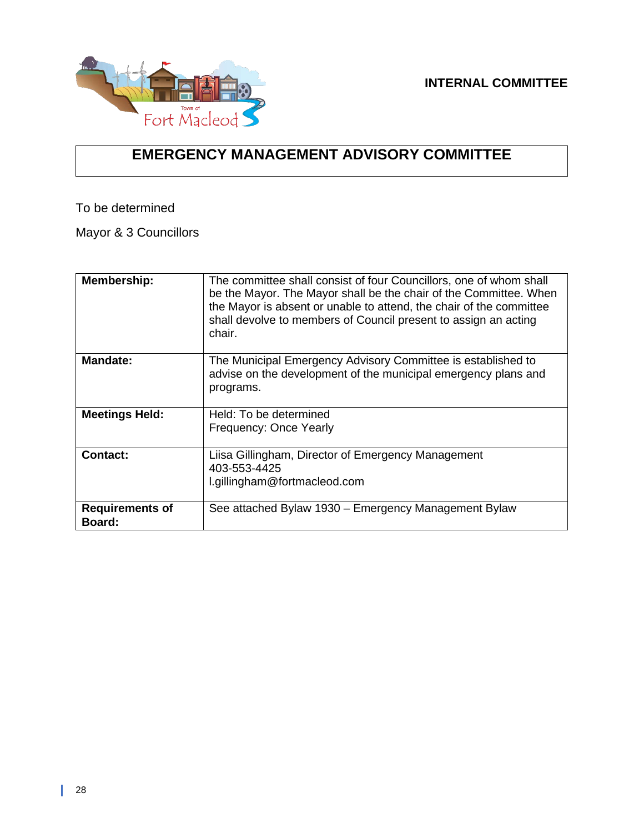

### **EMERGENCY MANAGEMENT ADVISORY COMMITTEE**

To be determined

Mayor & 3 Councillors

| <b>Membership:</b>               | The committee shall consist of four Councillors, one of whom shall<br>be the Mayor. The Mayor shall be the chair of the Committee. When<br>the Mayor is absent or unable to attend, the chair of the committee<br>shall devolve to members of Council present to assign an acting<br>chair. |
|----------------------------------|---------------------------------------------------------------------------------------------------------------------------------------------------------------------------------------------------------------------------------------------------------------------------------------------|
| <b>Mandate:</b>                  | The Municipal Emergency Advisory Committee is established to<br>advise on the development of the municipal emergency plans and<br>programs.                                                                                                                                                 |
| <b>Meetings Held:</b>            | Held: To be determined<br>Frequency: Once Yearly                                                                                                                                                                                                                                            |
| <b>Contact:</b>                  | Liisa Gillingham, Director of Emergency Management<br>403-553-4425<br>l.gillingham@fortmacleod.com                                                                                                                                                                                          |
| <b>Requirements of</b><br>Board: | See attached Bylaw 1930 – Emergency Management Bylaw                                                                                                                                                                                                                                        |